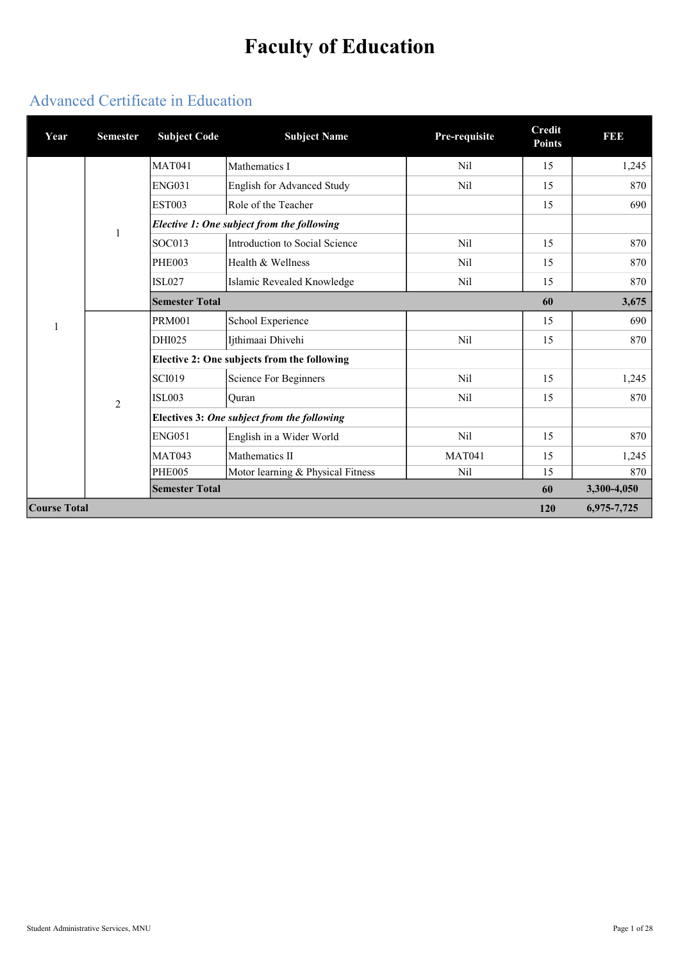# Faculty of Education

## Advanced Certificate in Education

| Year                | <b>Semester</b> | <b>Subject Code</b>   | <b>Subject Name</b>                         | Pre-requisite | <b>Credit</b><br><b>Points</b> | <b>BBB</b>  |
|---------------------|-----------------|-----------------------|---------------------------------------------|---------------|--------------------------------|-------------|
|                     |                 | <b>MAT041</b>         | Mathematics I                               | Nil           | 15                             | 1,245       |
|                     |                 | <b>ENG031</b>         | English for Advanced Study                  | Nil           | 15                             | 870         |
|                     |                 | <b>EST003</b>         | Role of the Teacher                         |               | 15                             | 690         |
|                     |                 |                       | Elective 1: One subject from the following  |               |                                |             |
|                     |                 | SOC013                | Introduction to Social Science              | Nil           | 15                             | 870         |
|                     |                 | <b>PHE003</b>         | Health & Wellness                           | <b>Nil</b>    | 15                             | 870         |
|                     |                 | <b>ISL027</b>         | Islamic Revealed Knowledge                  | Nil           | 15                             | 870         |
|                     |                 | <b>Semester Total</b> |                                             |               | 60                             | 3,675       |
| 1                   |                 | <b>PRM001</b>         | School Experience                           |               | 15                             | 690         |
|                     |                 | DHI025                | Ijthimaai Dhivehi                           | Nil           | 15                             | 870         |
|                     |                 |                       | Elective 2: One subjects from the following |               |                                |             |
|                     |                 | <b>SCI019</b>         | <b>Science For Beginners</b>                | Nil           | 15                             | 1,245       |
|                     | $\overline{2}$  | <b>ISL003</b>         | Ouran                                       | Nil           | 15                             | 870         |
|                     |                 |                       | Electives 3: One subject from the following |               |                                |             |
|                     |                 | <b>ENG051</b>         | English in a Wider World                    | Nil           | 15                             | 870         |
|                     |                 | <b>MAT043</b>         | Mathematics II                              | <b>MAT041</b> | 15                             | 1,245       |
|                     |                 | <b>PHE005</b>         | Motor learning & Physical Fitness           | Nil           | 15                             | 870         |
|                     |                 | <b>Semester Total</b> |                                             |               | 60                             | 3,300-4,050 |
| <b>Course Total</b> |                 |                       |                                             |               | 120                            | 6,975-7,725 |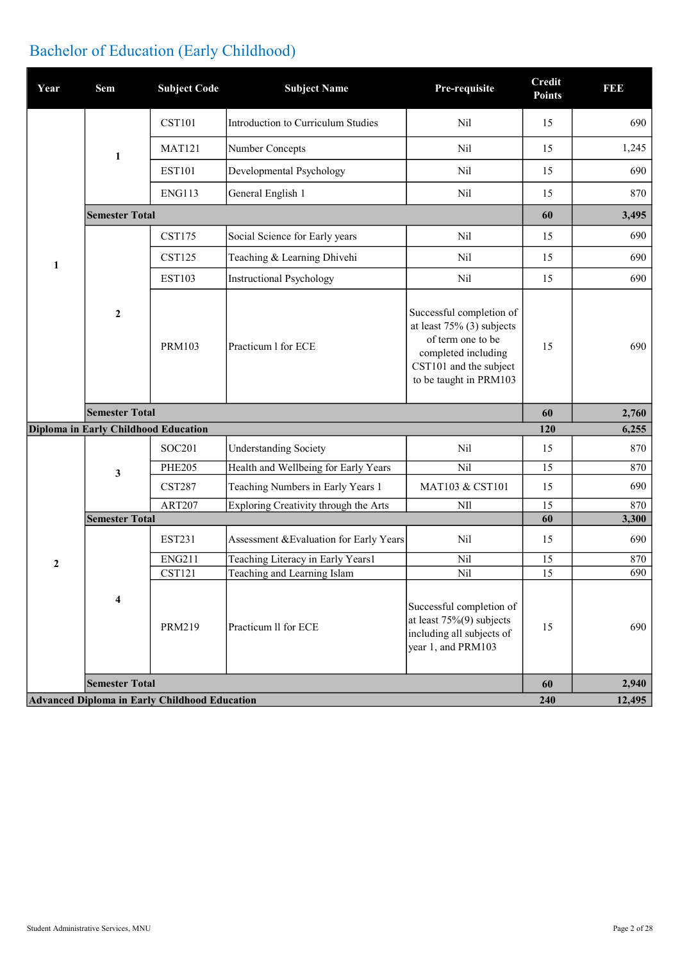## Bachelor of Education (Early Childhood)

| Year         | Sem                                  | <b>Subject Code</b>                                  | <b>Subject Name</b>                     | Pre-requisite                                                                                                                                            | <b>Credit</b><br><b>Points</b> | <b>BBB</b> |
|--------------|--------------------------------------|------------------------------------------------------|-----------------------------------------|----------------------------------------------------------------------------------------------------------------------------------------------------------|--------------------------------|------------|
|              |                                      | <b>CST101</b>                                        | Introduction to Curriculum Studies      | Nil                                                                                                                                                      | 15                             | 690        |
|              | 1                                    | <b>MAT121</b>                                        | Number Concepts                         | Nil                                                                                                                                                      | 15                             | 1,245      |
|              |                                      | <b>EST101</b>                                        | Developmental Psychology                | Nil                                                                                                                                                      | 15                             | 690        |
|              |                                      | <b>ENG113</b>                                        | General English 1                       | Nil                                                                                                                                                      | 15                             | 870        |
|              | <b>Semester Total</b>                |                                                      |                                         |                                                                                                                                                          | 60                             | 3,495      |
|              |                                      | <b>CST175</b>                                        | Social Science for Early years          | Nil                                                                                                                                                      | 15                             | 690        |
| $\mathbf{1}$ |                                      | <b>CST125</b>                                        | Teaching & Learning Dhivehi             | N <sub>il</sub>                                                                                                                                          | 15                             | 690        |
|              |                                      | <b>EST103</b>                                        | <b>Instructional Psychology</b>         | Nil                                                                                                                                                      | 15                             | 690        |
|              | $\boldsymbol{2}$                     | <b>PRM103</b>                                        | Practicum 1 for ECE                     | Successful completion of<br>at least $75\%$ (3) subjects<br>of term one to be<br>completed including<br>CST101 and the subject<br>to be taught in PRM103 | 15                             | 690        |
|              | <b>Semester Total</b>                |                                                      |                                         |                                                                                                                                                          | 60                             | 2,760      |
|              | Diploma in Early Childhood Education |                                                      |                                         |                                                                                                                                                          | 120                            | 6,255      |
|              |                                      | SOC201                                               | <b>Understanding Society</b>            | Nil                                                                                                                                                      | 15                             | 870        |
|              | 3                                    | <b>PHE205</b>                                        | Health and Wellbeing for Early Years    | Nil                                                                                                                                                      | 15                             | 870        |
|              |                                      | <b>CST287</b>                                        | Teaching Numbers in Early Years 1       | MAT103 & CST101                                                                                                                                          | 15                             | 690        |
|              |                                      | <b>ART207</b>                                        | Exploring Creativity through the Arts   | NII                                                                                                                                                      | 15                             | 870        |
|              | <b>Semester Total</b>                |                                                      |                                         |                                                                                                                                                          | 60                             | 3,300      |
|              |                                      | <b>EST231</b>                                        | Assessment & Evaluation for Early Years | Nil                                                                                                                                                      | 15                             | 690        |
| $\mathbf{2}$ |                                      | <b>ENG211</b>                                        | Teaching Literacy in Early Years1       | Nil                                                                                                                                                      | 15                             | 870        |
|              |                                      | <b>CST121</b>                                        | Teaching and Learning Islam             | Nil                                                                                                                                                      | 15                             | 690        |
|              | 4                                    | <b>PRM219</b>                                        | Practicum II for ECE                    | Successful completion of<br>at least $75\%(9)$ subjects<br>including all subjects of<br>year 1, and PRM103                                               | 15                             | 690        |
|              | <b>Semester Total</b>                |                                                      |                                         |                                                                                                                                                          | 60                             | 2,940      |
|              |                                      | <b>Advanced Diploma in Early Childhood Education</b> |                                         |                                                                                                                                                          | 240                            | 12,495     |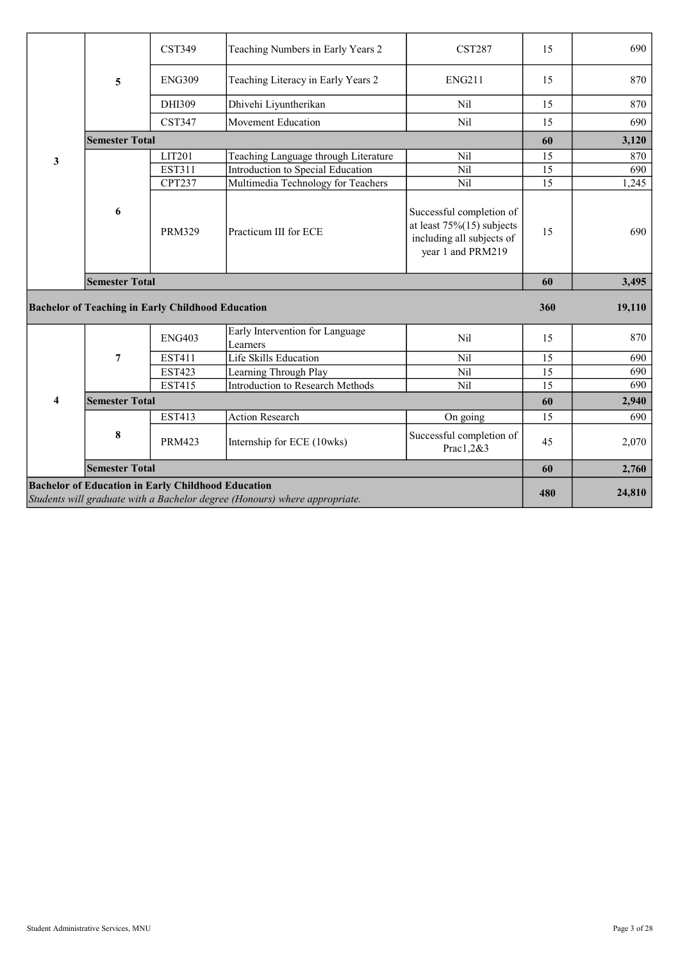|   |                       | <b>CST349</b>                                            | Teaching Numbers in Early Years 2           | <b>CST287</b>                                                                                              | 15              | 690    |
|---|-----------------------|----------------------------------------------------------|---------------------------------------------|------------------------------------------------------------------------------------------------------------|-----------------|--------|
|   | 5                     | <b>ENG309</b>                                            | Teaching Literacy in Early Years 2          | <b>ENG211</b>                                                                                              | 15              | 870    |
|   |                       | DHI309                                                   | Dhivehi Liyuntherikan                       | Nil                                                                                                        | 15              | 870    |
|   |                       | <b>CST347</b>                                            | <b>Movement Education</b>                   | Nil                                                                                                        | 15              | 690    |
|   | <b>Semester Total</b> |                                                          |                                             |                                                                                                            | 60              | 3,120  |
| 3 |                       | LIT201                                                   | Teaching Language through Literature        | <b>Nil</b>                                                                                                 | 15              | 870    |
|   |                       | <b>EST311</b>                                            | Introduction to Special Education           | Nil                                                                                                        | $\overline{15}$ | 690    |
|   |                       | <b>CPT237</b>                                            | Multimedia Technology for Teachers          | Nil                                                                                                        | 15              | 1,245  |
|   | 6                     | <b>PRM329</b>                                            | Practicum III for ECE                       | Successful completion of<br>at least $75\%(15)$ subjects<br>including all subjects of<br>year 1 and PRM219 | 15              | 690    |
|   |                       |                                                          |                                             |                                                                                                            |                 |        |
|   | <b>Semester Total</b> |                                                          |                                             |                                                                                                            | 60              | 3,495  |
|   |                       | <b>Bachelor of Teaching in Early Childhood Education</b> |                                             |                                                                                                            | 360             | 19,110 |
|   |                       | <b>ENG403</b>                                            | Early Intervention for Language<br>Learners | Nil                                                                                                        | 15              | 870    |
|   | $\overline{7}$        | <b>EST411</b>                                            | Life Skills Education                       | Nil                                                                                                        | 15              | 690    |
|   |                       | <b>EST423</b>                                            | Learning Through Play                       | Nil                                                                                                        | 15              | 690    |
|   |                       | <b>EST415</b>                                            | <b>Introduction to Research Methods</b>     | <b>Nil</b>                                                                                                 | 15              | 690    |
| 4 | <b>Semester Total</b> |                                                          |                                             |                                                                                                            | 60              | 2,940  |
|   |                       | <b>EST413</b>                                            | <b>Action Research</b>                      | On going                                                                                                   | 15              | 690    |
|   | 8                     | <b>PRM423</b>                                            | Internship for ECE (10wks)                  | Successful completion of<br>Prac1,2&3                                                                      | 45              | 2,070  |
|   | <b>Semester Total</b> |                                                          |                                             |                                                                                                            | 60              | 2,760  |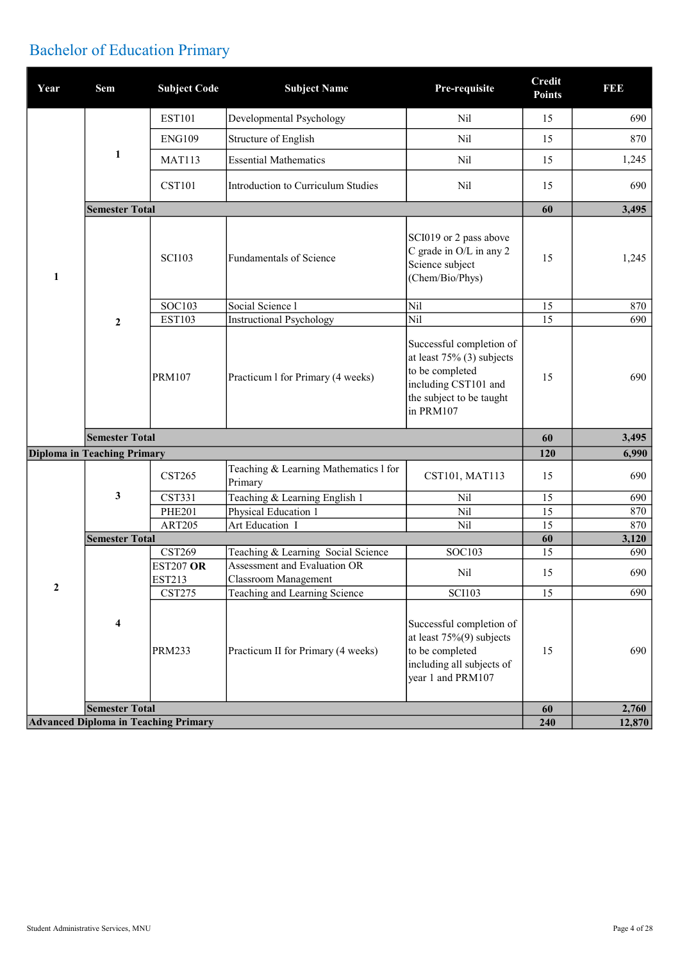## Bachelor of Education Primary

| Year         | Sem                                | <b>Subject Code</b>                         | <b>Subject Name</b>                                                | Pre-requisite                                                                                                                                | <b>Credit</b><br><b>Points</b> | <b>BBB</b> |
|--------------|------------------------------------|---------------------------------------------|--------------------------------------------------------------------|----------------------------------------------------------------------------------------------------------------------------------------------|--------------------------------|------------|
|              |                                    | <b>EST101</b>                               | Developmental Psychology                                           | Nil                                                                                                                                          | 15                             | 690        |
|              |                                    | <b>ENG109</b>                               | Structure of English                                               | Nil                                                                                                                                          | 15                             | 870        |
|              | 1                                  | <b>MAT113</b>                               | <b>Essential Mathematics</b>                                       | Nil                                                                                                                                          | 15                             | 1,245      |
|              |                                    | <b>CST101</b>                               | Introduction to Curriculum Studies                                 | Nil                                                                                                                                          | 15                             | 690        |
|              | <b>Semester Total</b>              |                                             |                                                                    |                                                                                                                                              | 60                             | 3,495      |
| $\mathbf{1}$ |                                    | <b>SCI103</b>                               | Fundamentals of Science                                            | SCI019 or 2 pass above<br>C grade in O/L in any 2<br>Science subject<br>(Chem/Bio/Phys)                                                      | 15                             | 1,245      |
|              |                                    | <b>SOC103</b>                               | Social Science l                                                   | Nil                                                                                                                                          | 15                             | 870        |
|              | $\boldsymbol{2}$                   | <b>EST103</b>                               | <b>Instructional Psychology</b>                                    | Nil                                                                                                                                          | 15                             | 690        |
|              |                                    | <b>PRM107</b>                               | Practicum 1 for Primary (4 weeks)                                  | Successful completion of<br>at least $75\%$ (3) subjects<br>to be completed<br>including CST101 and<br>the subject to be taught<br>in PRM107 | 15                             | 690        |
|              | <b>Semester Total</b>              |                                             |                                                                    |                                                                                                                                              | 60                             | 3,495      |
|              | <b>Diploma in Teaching Primary</b> |                                             |                                                                    |                                                                                                                                              | 120                            | 6,990      |
|              |                                    | <b>CST265</b>                               | Teaching & Learning Mathematics 1 for<br>Primary                   | CST101, MAT113                                                                                                                               | 15                             | 690        |
|              | 3                                  | <b>CST331</b>                               | Teaching & Learning English 1                                      | Nil                                                                                                                                          | 15                             | 690        |
|              |                                    | <b>PHE201</b>                               | Physical Education 1                                               | Nil                                                                                                                                          | 15                             | 870        |
|              |                                    | <b>ART205</b>                               | Art Education I                                                    | Nil                                                                                                                                          | 15                             | 870        |
|              | <b>Semester Total</b>              |                                             |                                                                    |                                                                                                                                              | 60                             | 3,120      |
|              |                                    | <b>CST269</b>                               | Teaching & Learning Social Science<br>Assessment and Evaluation OR | <b>SOC103</b>                                                                                                                                | 15                             | 690        |
|              |                                    | <b>EST207 OR</b><br><b>EST213</b>           | Classroom Management                                               | Nil                                                                                                                                          | 15                             | 690        |
| 2            |                                    | <b>CST275</b>                               | Teaching and Learning Science                                      | <b>SCI103</b>                                                                                                                                | 15                             | 690        |
|              |                                    |                                             |                                                                    |                                                                                                                                              |                                |            |
|              | $\boldsymbol{4}$                   | <b>PRM233</b>                               | Practicum II for Primary (4 weeks)                                 | Successful completion of<br>at least $75\%(9)$ subjects<br>to be completed<br>including all subjects of<br>year 1 and PRM107                 | 15                             | 690        |
|              | <b>Semester Total</b>              | <b>Advanced Diploma in Teaching Primary</b> |                                                                    |                                                                                                                                              | 60                             | 2,760      |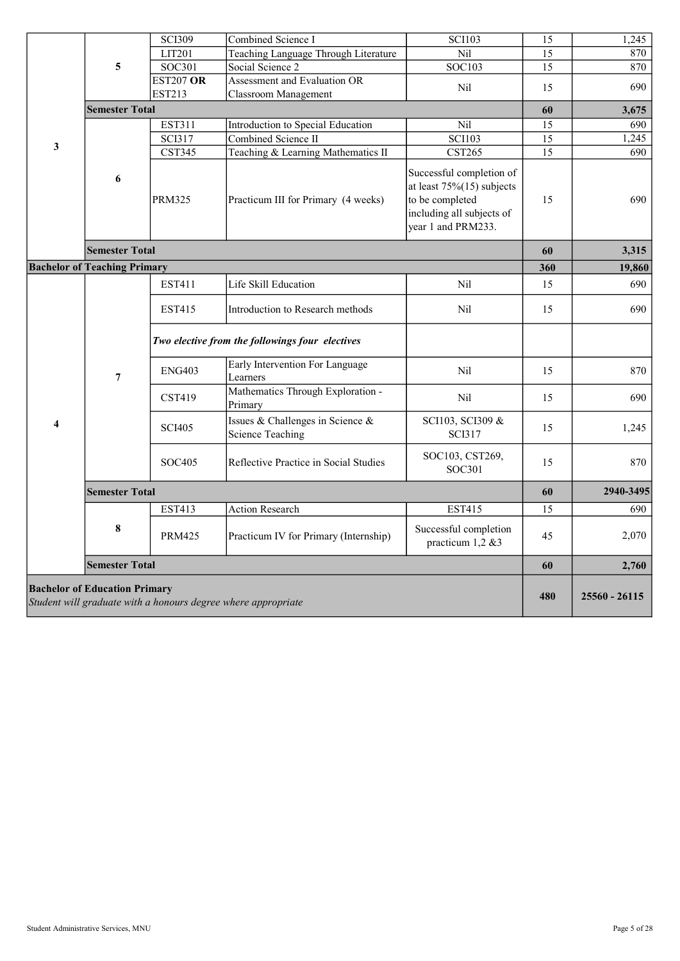|   |                                      | <b>SCI309</b>    | Combined Science I                                            | <b>SCI103</b>                                                                                                                  | 15              | 1,245         |
|---|--------------------------------------|------------------|---------------------------------------------------------------|--------------------------------------------------------------------------------------------------------------------------------|-----------------|---------------|
|   |                                      | LIT201           | Teaching Language Through Literature                          | Nil                                                                                                                            | 15              | 870           |
|   | 5                                    | <b>SOC301</b>    | Social Science 2                                              | SOC103                                                                                                                         | 15              | 870           |
|   |                                      | <b>EST207 OR</b> | Assessment and Evaluation OR                                  | Nil                                                                                                                            | 15              | 690           |
|   |                                      | <b>EST213</b>    | Classroom Management                                          |                                                                                                                                |                 |               |
|   | <b>Semester Total</b>                |                  |                                                               |                                                                                                                                | 60              | 3,675         |
|   |                                      | EST311           | Introduction to Special Education                             | Nil                                                                                                                            | 15              | 690           |
|   |                                      | <b>SCI317</b>    | Combined Science II                                           | <b>SCI103</b>                                                                                                                  | $\overline{15}$ | 1,245         |
| 3 |                                      | <b>CST345</b>    | Teaching & Learning Mathematics II                            | <b>CST265</b>                                                                                                                  | 15              | 690           |
|   | 6                                    | PRM325           | Practicum III for Primary (4 weeks)                           | Successful completion of<br>at least $75\%(15)$ subjects<br>to be completed<br>including all subjects of<br>year 1 and PRM233. | 15              | 690           |
|   | <b>Semester Total</b>                |                  |                                                               |                                                                                                                                | 60              | 3,315         |
|   | <b>Bachelor of Teaching Primary</b>  |                  |                                                               |                                                                                                                                | 360             | 19,860        |
|   |                                      | EST411           | Life Skill Education                                          | Nil                                                                                                                            | 15              | 690           |
|   |                                      |                  |                                                               |                                                                                                                                |                 |               |
|   |                                      | EST415           | Introduction to Research methods                              | Nil                                                                                                                            | 15              | 690           |
|   |                                      |                  | Two elective from the followings four electives               |                                                                                                                                |                 |               |
|   | $\overline{7}$                       | <b>ENG403</b>    | Early Intervention For Language<br>Learners                   | Nil                                                                                                                            | 15              | 870           |
|   |                                      | <b>CST419</b>    | Mathematics Through Exploration -<br>Primary                  | Nil                                                                                                                            | 15              | 690           |
| 4 |                                      | <b>SCI405</b>    | Issues & Challenges in Science &<br><b>Science Teaching</b>   | SCI103, SCI309 &<br><b>SCI317</b>                                                                                              | 15              | 1,245         |
|   |                                      | SOC405           | Reflective Practice in Social Studies                         | SOC103, CST269,<br>SOC301                                                                                                      | 15              | 870           |
|   | <b>Semester Total</b>                |                  |                                                               |                                                                                                                                | 60              | 2940-3495     |
|   |                                      | <b>EST413</b>    | <b>Action Research</b>                                        | <b>EST415</b>                                                                                                                  | 15              | 690           |
|   | 8                                    | <b>PRM425</b>    | Practicum IV for Primary (Internship)                         | Successful completion<br>practicum 1,2 &3                                                                                      | 45              | 2,070         |
|   | <b>Semester Total</b>                |                  |                                                               |                                                                                                                                | 60              | 2,760         |
|   | <b>Bachelor of Education Primary</b> |                  | Student will graduate with a honours degree where appropriate |                                                                                                                                | 480             | 25560 - 26115 |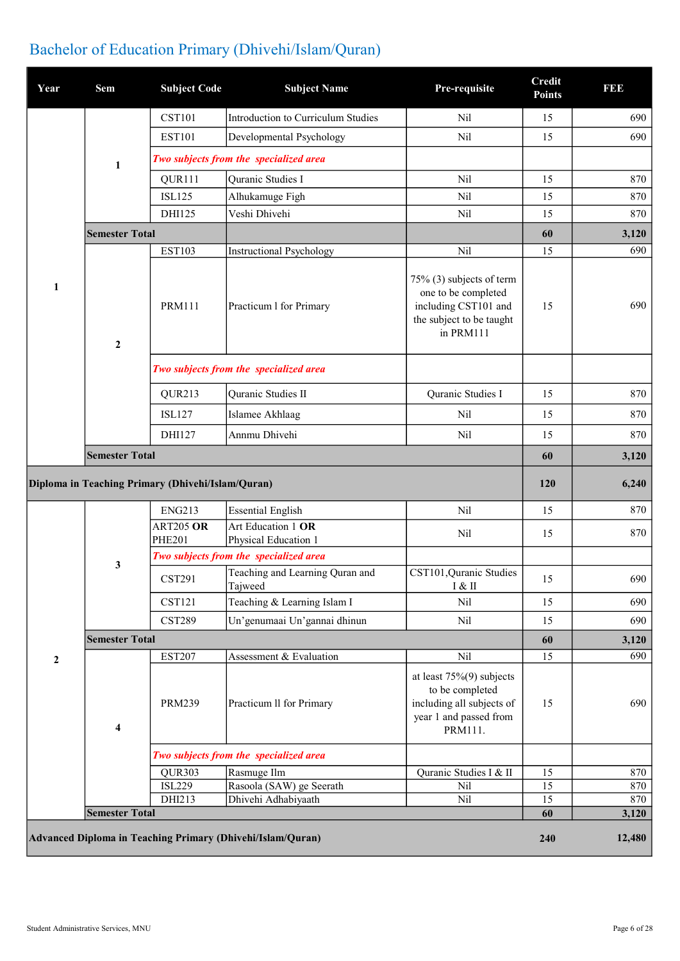| Year             | Sem                     | <b>Subject Code</b>                               | <b>Subject Name</b>                                        | Pre-requisite                                                                                                    | <b>Credit</b><br><b>Points</b> | <b>BBB</b>   |
|------------------|-------------------------|---------------------------------------------------|------------------------------------------------------------|------------------------------------------------------------------------------------------------------------------|--------------------------------|--------------|
|                  |                         | <b>CST101</b>                                     | Introduction to Curriculum Studies                         | Nil                                                                                                              | 15                             | 690          |
|                  |                         | <b>EST101</b>                                     | Developmental Psychology                                   | Nil                                                                                                              | 15                             | 690          |
|                  | 1                       |                                                   | Two subjects from the specialized area                     |                                                                                                                  |                                |              |
|                  |                         | QUR111                                            | Quranic Studies I                                          | Nil                                                                                                              | 15                             | 870          |
|                  |                         | <b>ISL125</b>                                     | Alhukamuge Figh                                            | Nil                                                                                                              | 15                             | 870          |
|                  |                         | DHI125                                            | Veshi Dhivehi                                              | Nil                                                                                                              | 15                             | 870          |
|                  | <b>Semester Total</b>   |                                                   |                                                            |                                                                                                                  | 60                             | 3,120        |
|                  |                         | <b>EST103</b>                                     | Instructional Psychology                                   | Nil                                                                                                              | 15                             | 690          |
| 1                | $\boldsymbol{2}$        | <b>PRM111</b>                                     | Practicum 1 for Primary                                    | 75% (3) subjects of term<br>one to be completed<br>including CST101 and<br>the subject to be taught<br>in PRM111 | 15                             | 690          |
|                  |                         |                                                   | Two subjects from the specialized area                     |                                                                                                                  |                                |              |
|                  |                         | QUR213                                            | Quranic Studies II                                         | Quranic Studies I                                                                                                | 15                             | 870          |
|                  |                         | <b>ISL127</b>                                     | Islamee Akhlaag                                            | Nil                                                                                                              | 15                             | 870          |
|                  |                         | DHI127                                            | Annmu Dhivehi                                              | Nil                                                                                                              | 15                             | 870          |
|                  | <b>Semester Total</b>   |                                                   |                                                            |                                                                                                                  | 60                             | 3,120        |
|                  |                         | Diploma in Teaching Primary (Dhivehi/Islam/Quran) |                                                            |                                                                                                                  | <b>120</b>                     | 6,240        |
|                  |                         | <b>ENG213</b>                                     | <b>Essential English</b>                                   | Nil                                                                                                              | 15                             | 870          |
|                  |                         | ART205 OR<br><b>PHE201</b>                        | Art Education 1 OR<br>Physical Education 1                 | Nil                                                                                                              | 15                             | 870          |
|                  |                         |                                                   | Two subjects from the specialized area                     |                                                                                                                  |                                |              |
|                  | 3                       | <b>CST291</b>                                     | Teaching and Learning Quran and<br>Tajweed                 | CST101, Quranic Studies<br>$\rm I\,\,\&\,\,II$                                                                   | 15                             | 690          |
|                  |                         | <b>CST121</b>                                     | Teaching & Learning Islam I                                | Nil                                                                                                              | 15                             | 690          |
|                  |                         | <b>CST289</b>                                     | Un'genumaai Un'gannai dhinun                               | Nil                                                                                                              | 15                             | 690          |
|                  | <b>Semester Total</b>   |                                                   |                                                            |                                                                                                                  | 60                             | 3,120        |
| $\boldsymbol{2}$ |                         | <b>EST207</b>                                     | Assessment & Evaluation                                    | Nil                                                                                                              | 15                             | 690          |
|                  | $\overline{\mathbf{4}}$ | <b>PRM239</b>                                     | Practicum II for Primary                                   | at least $75\%(9)$ subjects<br>to be completed<br>including all subjects of<br>year 1 and passed from<br>PRM111. | 15                             | 690          |
|                  |                         |                                                   | Two subjects from the specialized area                     |                                                                                                                  |                                |              |
|                  |                         | QUR303                                            | Rasmuge Ilm                                                | Quranic Studies I & II                                                                                           | 15                             | 870          |
|                  |                         | <b>ISL229</b>                                     | Rasoola (SAW) ge Seerath                                   | Nil                                                                                                              | 15                             | 870          |
|                  | <b>Semester Total</b>   | DHI213                                            | Dhivehi Adhabiyaath                                        | Nil                                                                                                              | 15<br>60                       | 870<br>3,120 |
|                  |                         |                                                   | Advanced Diploma in Teaching Primary (Dhivehi/Islam/Quran) |                                                                                                                  | 240                            | 12,480       |

## Bachelor of Education Primary (Dhivehi/Islam/Quran)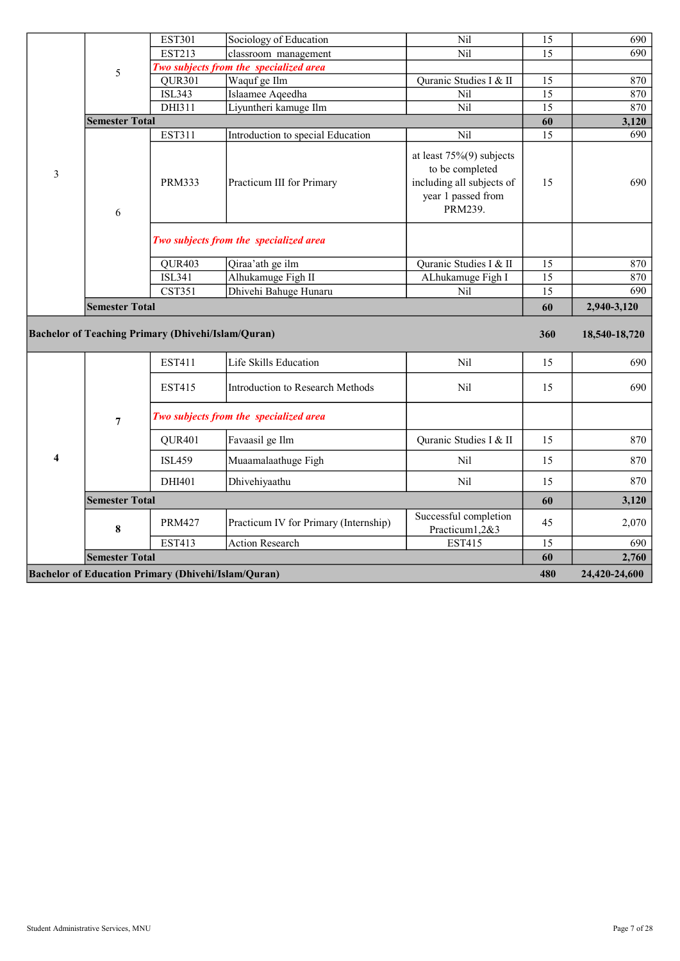|   |                                                           | <b>EST301</b> | Sociology of Education                 | Nil                                                                                                          | 15  | 690                            |
|---|-----------------------------------------------------------|---------------|----------------------------------------|--------------------------------------------------------------------------------------------------------------|-----|--------------------------------|
|   |                                                           | <b>EST213</b> | classroom management                   | Nil                                                                                                          | 15  | 690                            |
|   | 5                                                         |               | Two subjects from the specialized area |                                                                                                              |     |                                |
|   |                                                           | QUR301        | Waquf ge Ilm                           | Quranic Studies I & II                                                                                       | 15  | 870                            |
|   |                                                           | <b>ISL343</b> | Islaamee Aqeedha                       | Nil                                                                                                          | 15  | 870                            |
|   |                                                           | DHI311        | Liyuntheri kamuge Ilm                  | Nil                                                                                                          | 15  | 870                            |
|   | <b>Semester Total</b>                                     |               |                                        |                                                                                                              | 60  | 3,120                          |
|   |                                                           | EST311        | Introduction to special Education      | Nil                                                                                                          | 15  | 690                            |
| 3 | 6                                                         | <b>PRM333</b> | Practicum III for Primary              | at least $75\%(9)$ subjects<br>to be completed<br>including all subjects of<br>year 1 passed from<br>PRM239. | 15  | 690                            |
|   |                                                           |               | Two subjects from the specialized area |                                                                                                              |     |                                |
|   |                                                           | QUR403        | Qiraa'ath ge ilm                       | Quranic Studies I & II                                                                                       | 15  | 870                            |
|   |                                                           | <b>ISL341</b> | Alhukamuge Figh II                     | ALhukamuge Figh I                                                                                            | 15  | 870                            |
|   |                                                           | <b>CST351</b> | Dhivehi Bahuge Hunaru                  | Nil                                                                                                          | 15  | 690                            |
|   | <b>Semester Total</b>                                     |               |                                        |                                                                                                              | 60  | 2,940-3,120                    |
|   | <b>Bachelor of Teaching Primary (Dhivehi/Islam/Quran)</b> |               |                                        |                                                                                                              | 360 | 18,540-18,720                  |
|   |                                                           | <b>EST411</b> | Life Skills Education                  | N <sub>il</sub>                                                                                              | 15  | 690                            |
|   |                                                           | <b>EST415</b> | Introduction to Research Methods       | Nil                                                                                                          | 15  | 690                            |
|   | $\overline{7}$                                            |               | Two subjects from the specialized area |                                                                                                              |     |                                |
|   |                                                           | QUR401        | Favaasil ge Ilm                        | Quranic Studies I & II                                                                                       | 15  | 870                            |
| 4 |                                                           | <b>ISL459</b> | Muaamalaathuge Figh                    | Nil                                                                                                          | 15  | 870                            |
|   |                                                           | DHI401        | Dhivehiyaathu                          | Nil                                                                                                          | 15  | 870                            |
|   |                                                           |               |                                        |                                                                                                              |     |                                |
|   | <b>Semester Total</b>                                     |               |                                        |                                                                                                              | 60  |                                |
|   | 8                                                         | <b>PRM427</b> | Practicum IV for Primary (Internship)  | Successful completion<br>Practicum1,2&3                                                                      | 45  |                                |
|   |                                                           | <b>EST413</b> | <b>Action Research</b>                 | <b>EST415</b>                                                                                                | 15  |                                |
|   | <b>Semester Total</b>                                     |               |                                        |                                                                                                              | 60  | 3,120<br>2,070<br>690<br>2,760 |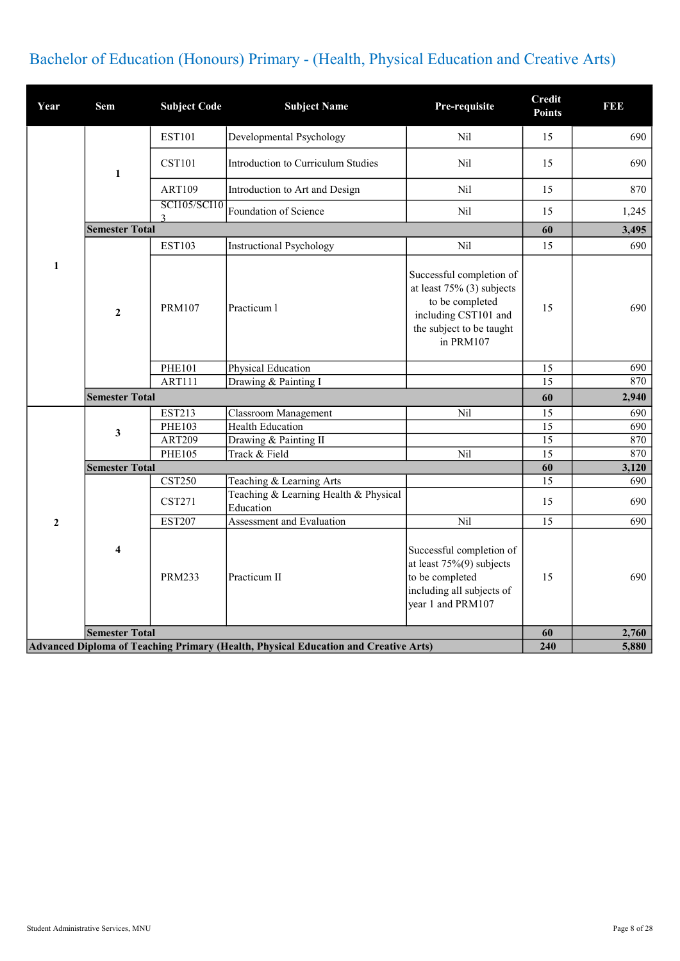## Bachelor of Education (Honours) Primary - (Health, Physical Education and Creative Arts)

| Year             | <b>Sem</b>            | <b>Subject Code</b>      | <b>Subject Name</b>                                                                 | Pre-requisite                                                                                                                                | <b>Credit</b><br><b>Points</b> | <b>BBB</b>   |
|------------------|-----------------------|--------------------------|-------------------------------------------------------------------------------------|----------------------------------------------------------------------------------------------------------------------------------------------|--------------------------------|--------------|
|                  |                       | <b>EST101</b>            | Developmental Psychology                                                            | Nil                                                                                                                                          | 15                             | 690          |
|                  | 1                     | <b>CST101</b>            | Introduction to Curriculum Studies                                                  | Nil                                                                                                                                          | 15                             | 690          |
|                  |                       | <b>ART109</b>            | Introduction to Art and Design                                                      | Nil                                                                                                                                          | 15                             | 870          |
|                  |                       | <b>SCI105/SCI10</b><br>3 | Foundation of Science                                                               | Nil                                                                                                                                          | 15                             | 1,245        |
|                  | <b>Semester Total</b> |                          |                                                                                     |                                                                                                                                              | 60                             | 3,495        |
|                  |                       | <b>EST103</b>            | <b>Instructional Psychology</b>                                                     | Nil                                                                                                                                          | 15                             | 690          |
| $\mathbf{1}$     | $\mathbf{2}$          | <b>PRM107</b>            | Practicum 1                                                                         | Successful completion of<br>at least $75\%$ (3) subjects<br>to be completed<br>including CST101 and<br>the subject to be taught<br>in PRM107 | 15                             | 690          |
|                  |                       | <b>PHE101</b>            | Physical Education                                                                  |                                                                                                                                              | 15                             | 690          |
|                  |                       | <b>ART111</b>            | Drawing & Painting I                                                                |                                                                                                                                              | 15                             | 870          |
|                  | <b>Semester Total</b> |                          |                                                                                     |                                                                                                                                              | 60                             | 2,940        |
|                  |                       | EST213                   | Classroom Management                                                                | Nil                                                                                                                                          | 15                             | 690          |
|                  | 3                     | PHE103                   | <b>Health Education</b>                                                             |                                                                                                                                              | 15                             | 690          |
|                  |                       | <b>ART209</b>            | Drawing & Painting II                                                               |                                                                                                                                              | 15                             | 870          |
|                  |                       | <b>PHE105</b>            | Track & Field                                                                       | Nil                                                                                                                                          | $\overline{15}$                | 870          |
|                  | <b>Semester Total</b> | <b>CST250</b>            |                                                                                     |                                                                                                                                              | 60<br>15                       | 3,120<br>690 |
|                  |                       | <b>CST271</b>            | Teaching & Learning Arts<br>Teaching & Learning Health & Physical<br>Education      |                                                                                                                                              | 15                             | 690          |
| $\boldsymbol{2}$ |                       | <b>EST207</b>            | Assessment and Evaluation                                                           | Nil                                                                                                                                          | 15                             | 690          |
|                  | $\overline{\bf{4}}$   | <b>PRM233</b>            | Practicum II                                                                        | Successful completion of<br>at least $75\%(9)$ subjects<br>to be completed<br>including all subjects of<br>year 1 and PRM107                 | 15                             | 690          |
|                  | <b>Semester Total</b> |                          |                                                                                     |                                                                                                                                              | 60                             | 2,760        |
|                  |                       |                          | Advanced Diploma of Teaching Primary (Health, Physical Education and Creative Arts) |                                                                                                                                              | 240                            | 5,880        |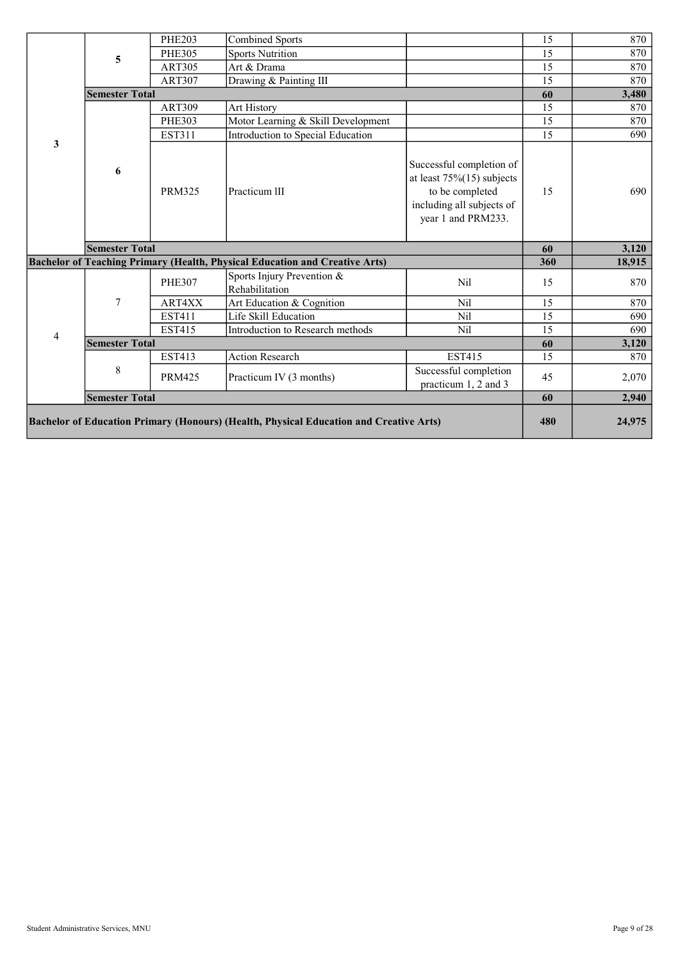|   |                       | <b>PHE203</b> | <b>Combined Sports</b>                                                      |                                                                                                                                | 15  | 870    |
|---|-----------------------|---------------|-----------------------------------------------------------------------------|--------------------------------------------------------------------------------------------------------------------------------|-----|--------|
|   | 5                     | <b>PHE305</b> | <b>Sports Nutrition</b>                                                     |                                                                                                                                | 15  | 870    |
|   |                       | <b>ART305</b> | Art & Drama                                                                 |                                                                                                                                | 15  | 870    |
|   |                       | <b>ART307</b> | Drawing & Painting III                                                      |                                                                                                                                | 15  | 870    |
|   | <b>Semester Total</b> |               |                                                                             |                                                                                                                                | 60  | 3,480  |
|   |                       | <b>ART309</b> | Art History                                                                 |                                                                                                                                | 15  | 870    |
|   |                       | <b>PHE303</b> | Motor Learning & Skill Development                                          |                                                                                                                                | 15  | 870    |
|   |                       | EST311        | Introduction to Special Education                                           |                                                                                                                                | 15  | 690    |
| 3 | 6                     | <b>PRM325</b> | Practicum III                                                               | Successful completion of<br>at least $75\%(15)$ subjects<br>to be completed<br>including all subjects of<br>year 1 and PRM233. | 15  | 690    |
|   |                       |               |                                                                             |                                                                                                                                |     |        |
|   | <b>Semester Total</b> |               |                                                                             |                                                                                                                                | 60  | 3,120  |
|   |                       |               | Bachelor of Teaching Primary (Health, Physical Education and Creative Arts) |                                                                                                                                | 360 | 18,915 |
|   |                       | <b>PHE307</b> | Sports Injury Prevention &<br>Rehabilitation                                | Nil                                                                                                                            | 15  | 870    |
|   | $\overline{7}$        | ART4XX        | Art Education & Cognition                                                   | Nil                                                                                                                            | 15  | 870    |
|   |                       | <b>EST411</b> | Life Skill Education                                                        | Nil                                                                                                                            | 15  | 690    |
|   |                       | <b>EST415</b> | Introduction to Research methods                                            | Nil                                                                                                                            | 15  | 690    |
| 4 | <b>Semester Total</b> |               |                                                                             |                                                                                                                                | 60  | 3,120  |
|   |                       | <b>EST413</b> | <b>Action Research</b>                                                      | <b>EST415</b>                                                                                                                  | 15  | 870    |
|   | 8                     | <b>PRM425</b> | Practicum IV (3 months)                                                     | Successful completion<br>practicum 1, 2 and 3                                                                                  | 45  | 2,070  |
|   | <b>Semester Total</b> |               |                                                                             |                                                                                                                                | 60  | 2,940  |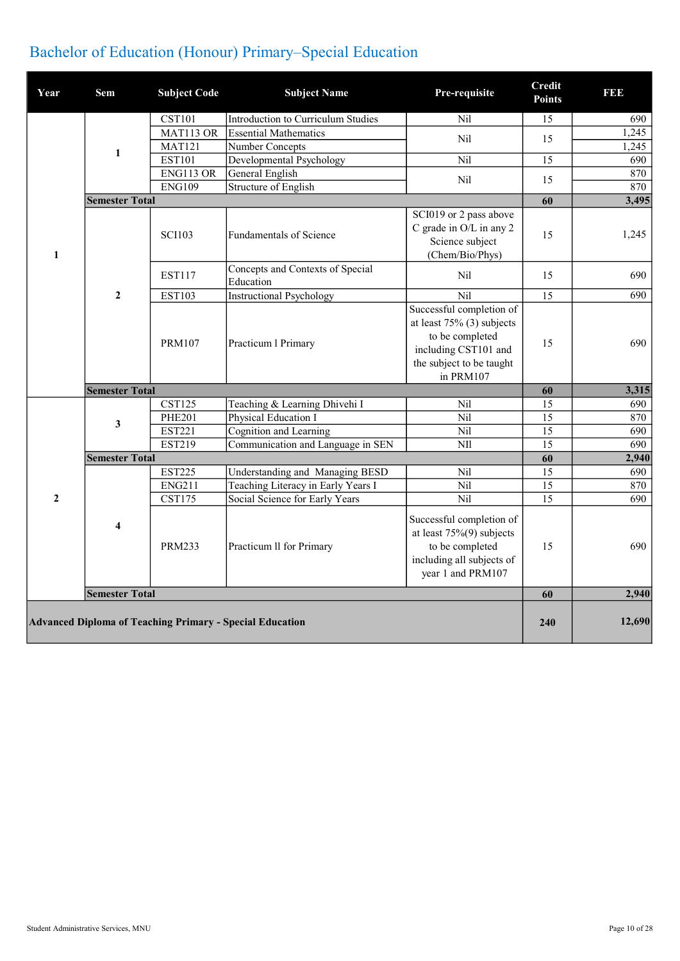## Bachelor of Education (Honour) Primary–Special Education

| Year           | Sem                     | <b>Subject Code</b> | <b>Subject Name</b>                                      | Pre-requisite                                                                                                                                | <b>Credit</b><br><b>Points</b> | 1993   |
|----------------|-------------------------|---------------------|----------------------------------------------------------|----------------------------------------------------------------------------------------------------------------------------------------------|--------------------------------|--------|
|                |                         | <b>CST101</b>       | Introduction to Curriculum Studies                       | Nil                                                                                                                                          | 15                             | 690    |
|                |                         | MAT113 OR           | <b>Essential Mathematics</b>                             | Nil                                                                                                                                          |                                | 1,245  |
|                |                         | <b>MAT121</b>       | Number Concepts                                          |                                                                                                                                              | 15                             | 1,245  |
|                | $\mathbf{1}$            | <b>EST101</b>       | Developmental Psychology                                 | Nil                                                                                                                                          | 15                             | 690    |
|                |                         | ENG113 OR           | General English                                          | Nil                                                                                                                                          |                                | 870    |
|                |                         | <b>ENG109</b>       | Structure of English                                     |                                                                                                                                              | 15                             | 870    |
|                | <b>Semester Total</b>   |                     |                                                          |                                                                                                                                              | 60                             | 3,495  |
| $\mathbf{1}$   |                         | <b>SCI103</b>       | <b>Fundamentals of Science</b>                           | SCI019 or 2 pass above<br>C grade in O/L in any 2<br>Science subject<br>(Chem/Bio/Phys)                                                      | 15                             | 1,245  |
|                |                         | <b>EST117</b>       | Concepts and Contexts of Special<br>Education            | Nil                                                                                                                                          | 15                             | 690    |
|                | $\overline{2}$          | <b>EST103</b>       | <b>Instructional Psychology</b>                          | $\overline{Nil}$                                                                                                                             | $\overline{15}$                | 690    |
|                |                         | <b>PRM107</b>       | Practicum 1 Primary                                      | Successful completion of<br>at least $75\%$ (3) subjects<br>to be completed<br>including CST101 and<br>the subject to be taught<br>in PRM107 | 15                             | 690    |
|                | <b>Semester Total</b>   |                     |                                                          |                                                                                                                                              | 60                             | 3,315  |
|                |                         | <b>CST125</b>       | Teaching & Learning Dhivehi I                            | N <sub>il</sub>                                                                                                                              | 15                             | 690    |
|                |                         | <b>PHE201</b>       | Physical Education I                                     | Nil                                                                                                                                          | 15                             | 870    |
|                | 3                       | <b>EST221</b>       | Cognition and Learning                                   | Nil                                                                                                                                          | $\overline{15}$                | 690    |
|                |                         | <b>EST219</b>       | Communication and Language in SEN                        | <b>NII</b>                                                                                                                                   | 15                             | 690    |
|                | <b>Semester Total</b>   |                     |                                                          |                                                                                                                                              | 60                             | 2,940  |
|                |                         | <b>EST225</b>       | Understanding and Managing BESD                          | N <sub>il</sub>                                                                                                                              | 15                             | 690    |
|                |                         | ENG211              | Teaching Literacy in Early Years I                       | Nil                                                                                                                                          | 15                             | 870    |
| $\overline{2}$ |                         | <b>CST175</b>       | Social Science for Early Years                           | Nil                                                                                                                                          | 15                             | 690    |
|                | $\overline{\mathbf{4}}$ | <b>PRM233</b>       | Practicum II for Primary                                 | Successful completion of<br>at least $75\%(9)$ subjects<br>to be completed<br>including all subjects of<br>year 1 and PRM107                 | 15                             | 690    |
|                | <b>Semester Total</b>   |                     |                                                          |                                                                                                                                              | 60                             | 2,940  |
|                |                         |                     | Advanced Diploma of Teaching Primary - Special Education |                                                                                                                                              | 240                            | 12,690 |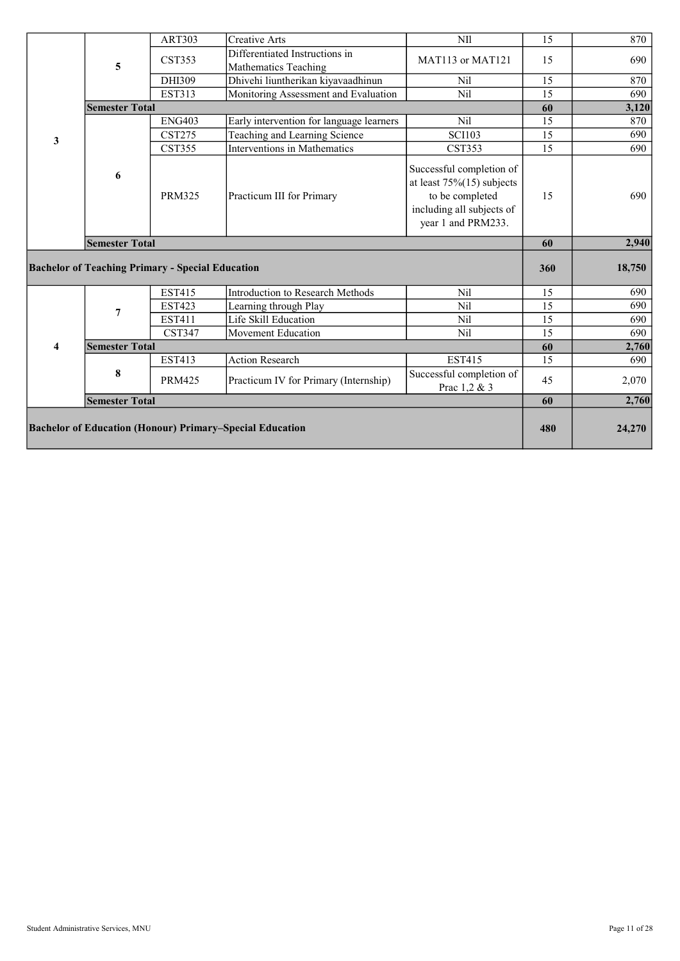|   |                                                         | <b>ART303</b> | <b>Creative Arts</b>                     | <b>NII</b>                                                                                                                     | 15  | 870          |
|---|---------------------------------------------------------|---------------|------------------------------------------|--------------------------------------------------------------------------------------------------------------------------------|-----|--------------|
|   |                                                         | <b>CST353</b> | Differentiated Instructions in           | MAT113 or MAT121                                                                                                               | 15  | 690          |
|   | 5                                                       |               | Mathematics Teaching                     |                                                                                                                                |     |              |
|   |                                                         | DHI309        | Dhivehi liuntherikan kiyavaadhinun       | N <sub>il</sub>                                                                                                                | 15  | 870          |
|   |                                                         | <b>EST313</b> | Monitoring Assessment and Evaluation     | Nil                                                                                                                            | 15  | 690          |
|   | <b>Semester Total</b>                                   |               |                                          |                                                                                                                                | 60  | 3,120        |
|   |                                                         | <b>ENG403</b> | Early intervention for language learners | Nil                                                                                                                            | 15  | 870          |
| 3 |                                                         | <b>CST275</b> | Teaching and Learning Science            | <b>SCI103</b>                                                                                                                  | 15  | 690          |
|   |                                                         | <b>CST355</b> | <b>Interventions in Mathematics</b>      | <b>CST353</b>                                                                                                                  | 15  | 690          |
|   | 6                                                       | <b>PRM325</b> | Practicum III for Primary                | Successful completion of<br>at least $75\%(15)$ subjects<br>to be completed<br>including all subjects of<br>year 1 and PRM233. | 15  | 690          |
|   |                                                         |               |                                          |                                                                                                                                |     |              |
|   | <b>Semester Total</b>                                   |               |                                          |                                                                                                                                | 60  |              |
|   | <b>Bachelor of Teaching Primary - Special Education</b> |               |                                          |                                                                                                                                | 360 | 18,750       |
|   |                                                         | <b>EST415</b> | Introduction to Research Methods         | Nil                                                                                                                            | 15  | 690          |
|   |                                                         | <b>EST423</b> | Learning through Play                    | Nil                                                                                                                            | 15  | 690          |
|   | 7                                                       | <b>EST411</b> | Life Skill Education                     | Nil                                                                                                                            | 15  | 690          |
|   |                                                         | <b>CST347</b> | Movement Education                       | Nil                                                                                                                            | 15  | 2,940<br>690 |
| 4 | <b>Semester Total</b>                                   |               |                                          |                                                                                                                                | 60  | 2,760        |
|   |                                                         | <b>EST413</b> | <b>Action Research</b>                   | <b>EST415</b>                                                                                                                  | 15  | 690          |
|   | 8                                                       |               |                                          | Successful completion of                                                                                                       |     |              |
|   |                                                         | <b>PRM425</b> | Practicum IV for Primary (Internship)    | Prac 1,2 & 3                                                                                                                   | 45  | 2,070        |
|   | <b>Semester Total</b>                                   |               |                                          |                                                                                                                                | 60  | 2,760        |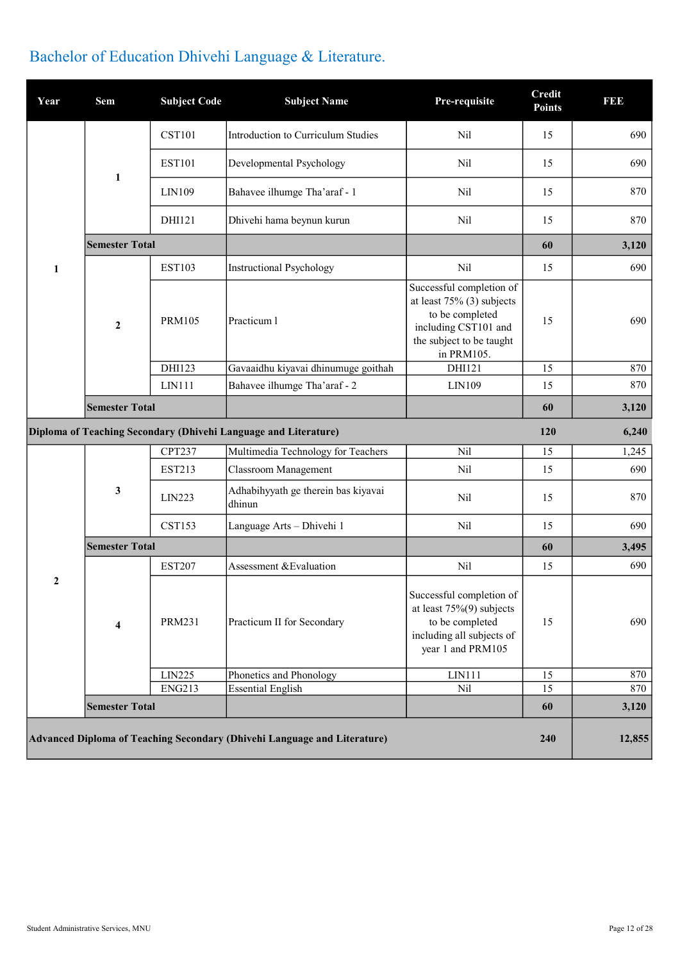| Year | <b>Sem</b>              | <b>Subject Code</b> | <b>Subject Name</b>                                             | Pre-requisite                                                                                                                                 | <b>Credit</b><br><b>Points</b> | <b>BBB</b> |
|------|-------------------------|---------------------|-----------------------------------------------------------------|-----------------------------------------------------------------------------------------------------------------------------------------------|--------------------------------|------------|
|      |                         | <b>CST101</b>       | Introduction to Curriculum Studies                              | Nil                                                                                                                                           | 15                             | 690        |
|      | 1                       | <b>EST101</b>       | Developmental Psychology                                        | Nil                                                                                                                                           | 15                             | 690        |
|      |                         | LIN109              | Bahavee ilhumge Tha'araf - 1                                    | Nil                                                                                                                                           | 15                             | 870        |
|      |                         | DHI121              | Dhivehi hama beynun kurun                                       | Nil                                                                                                                                           | 15                             | 870        |
|      | <b>Semester Total</b>   |                     |                                                                 |                                                                                                                                               | 60                             | 3,120      |
| 1    |                         | <b>EST103</b>       | <b>Instructional Psychology</b>                                 | Nil                                                                                                                                           | 15                             | 690        |
|      | $\mathbf{2}$            | <b>PRM105</b>       | Practicum l                                                     | Successful completion of<br>at least $75\%$ (3) subjects<br>to be completed<br>including CST101 and<br>the subject to be taught<br>in PRM105. | 15                             | 690        |
|      |                         | DHI123              | Gavaaidhu kiyavai dhinumuge goithah                             | DHI121                                                                                                                                        | 15                             | 870        |
|      |                         | LIN111              | Bahavee ilhumge Tha'araf - 2                                    | LIN109                                                                                                                                        | 15                             | 870        |
|      | <b>Semester Total</b>   |                     |                                                                 |                                                                                                                                               | 60                             | 3,120      |
|      |                         |                     |                                                                 |                                                                                                                                               |                                |            |
|      |                         |                     | Diploma of Teaching Secondary (Dhivehi Language and Literature) |                                                                                                                                               | 120                            | 6,240      |
|      |                         | <b>CPT237</b>       | Multimedia Technology for Teachers                              | Nil                                                                                                                                           | 15                             | 1,245      |
|      |                         | <b>EST213</b>       | <b>Classroom Management</b>                                     | Nil                                                                                                                                           | 15                             | 690        |
|      | 3                       | LIN223              | Adhabihyyath ge therein bas kiyavai<br>dhinun                   | N <sub>il</sub>                                                                                                                               | 15                             | 870        |
|      |                         | <b>CST153</b>       | Language Arts - Dhivehi 1                                       | Nil                                                                                                                                           | 15                             | 690        |
|      | <b>Semester Total</b>   |                     |                                                                 |                                                                                                                                               | 60                             | 3,495      |
|      |                         | <b>EST207</b>       | Assessment & Evaluation                                         | Nil                                                                                                                                           | 15                             | 690        |
| 2    | $\overline{\mathbf{4}}$ | <b>PRM231</b>       | Practicum II for Secondary                                      | Successful completion of<br>at least $75\%(9)$ subjects<br>to be completed<br>including all subjects of<br>year 1 and PRM105                  | 15                             | 690        |
|      |                         | LIN225              | Phonetics and Phonology                                         | LIN111                                                                                                                                        | 15                             | 870        |
|      |                         | <b>ENG213</b>       | <b>Essential English</b>                                        | Nil                                                                                                                                           | 15                             | 870        |
|      | <b>Semester Total</b>   |                     |                                                                 |                                                                                                                                               | 60                             | 3,120      |

## Bachelor of Education Dhivehi Language & Literature.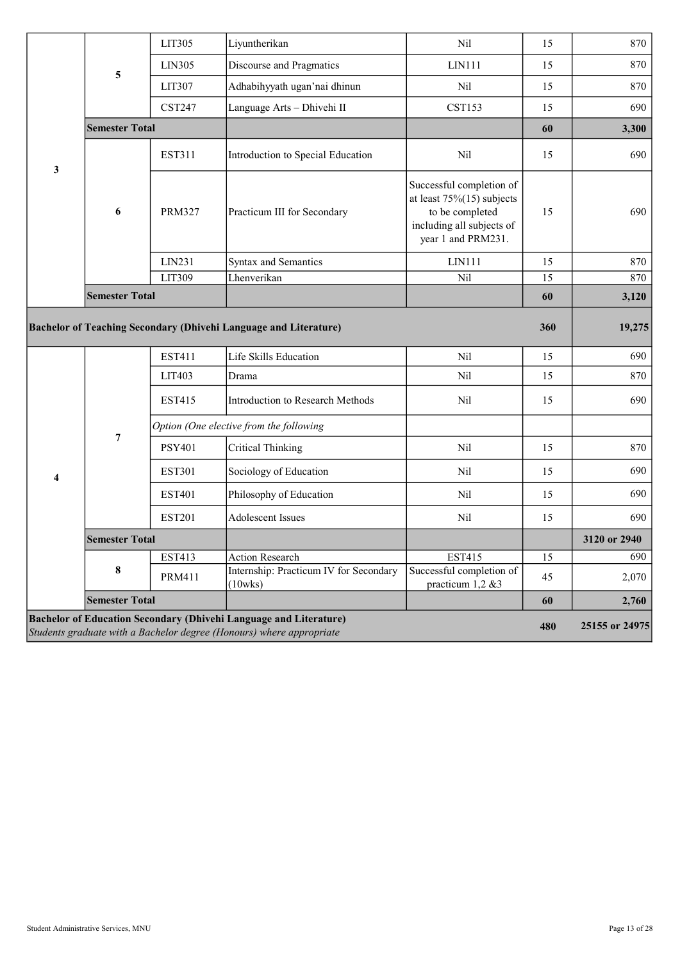|                       | LIT305        | Liyuntherikan                                     |                                                                                                                                | 15  |              |
|-----------------------|---------------|---------------------------------------------------|--------------------------------------------------------------------------------------------------------------------------------|-----|--------------|
|                       |               |                                                   | Nil                                                                                                                            |     | 870          |
|                       | LIN305        | Discourse and Pragmatics                          | LIN111                                                                                                                         | 15  | 870          |
| 5                     | LIT307        | Adhabihyyath ugan'nai dhinun                      | Nil                                                                                                                            | 15  | 870          |
|                       | <b>CST247</b> | Language Arts - Dhivehi II                        | <b>CST153</b>                                                                                                                  | 15  | 690          |
|                       |               |                                                   |                                                                                                                                | 60  | 3,300        |
|                       | <b>EST311</b> | Introduction to Special Education                 | Nil                                                                                                                            | 15  | 690          |
| 6                     | <b>PRM327</b> | Practicum III for Secondary                       | Successful completion of<br>at least $75\%(15)$ subjects<br>to be completed<br>including all subjects of<br>year 1 and PRM231. | 15  | 690          |
|                       | LIN231        | Syntax and Semantics                              | LIN111                                                                                                                         | 15  | 870          |
|                       | LIT309        | Lhenverikan                                       | Nil                                                                                                                            | 15  | 870          |
|                       |               |                                                   |                                                                                                                                | 60  | 3,120        |
|                       |               |                                                   |                                                                                                                                | 360 | 19,275       |
|                       |               |                                                   |                                                                                                                                |     |              |
|                       | EST411        | Life Skills Education                             | Nil                                                                                                                            | 15  | 690          |
|                       | LIT403        | Drama                                             | Nil                                                                                                                            | 15  | 870          |
|                       | <b>EST415</b> | Introduction to Research Methods                  | Nil                                                                                                                            | 15  | 690          |
|                       |               | Option (One elective from the following           |                                                                                                                                |     |              |
| $\overline{7}$        | <b>PSY401</b> | <b>Critical Thinking</b>                          | Nil                                                                                                                            | 15  | 870          |
|                       | <b>EST301</b> | Sociology of Education                            | Nil                                                                                                                            | 15  | 690          |
|                       | <b>EST401</b> | Philosophy of Education                           | Nil                                                                                                                            | 15  | 690          |
|                       | <b>EST201</b> | <b>Adolescent Issues</b>                          | Nil                                                                                                                            | 15  | 690          |
| <b>Semester Total</b> |               |                                                   |                                                                                                                                |     | 3120 or 2940 |
|                       | <b>EST413</b> | <b>Action Research</b>                            | <b>EST415</b>                                                                                                                  | 15  | 690          |
| $\bf 8$               | <b>PRM411</b> | Internship: Practicum IV for Secondary<br>(10wks) | Successful completion of<br>practicum 1,2 &3                                                                                   | 45  | 2,070        |
| <b>Semester Total</b> |               |                                                   |                                                                                                                                | 60  | 2,760        |
|                       |               | <b>Semester Total</b><br><b>Semester Total</b>    | <b>Bachelor of Teaching Secondary (Dhivehi Language and Literature)</b>                                                        |     |              |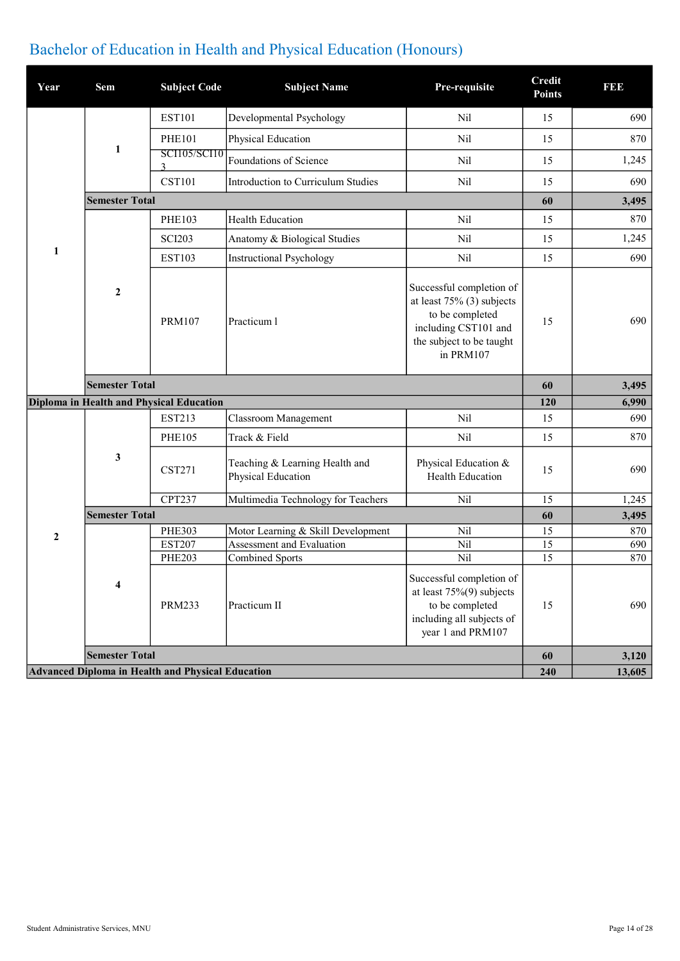## Bachelor of Education in Health and Physical Education (Honours)

| Year             | Sem                   | <b>Subject Code</b>                      | <b>Subject Name</b>                                  | Pre-requisite                                                                                                                                | <b>Credit</b><br><b>Points</b> | <b>BBB</b> |
|------------------|-----------------------|------------------------------------------|------------------------------------------------------|----------------------------------------------------------------------------------------------------------------------------------------------|--------------------------------|------------|
|                  |                       | <b>EST101</b>                            | Developmental Psychology                             | Nil                                                                                                                                          | 15                             | 690        |
|                  |                       | <b>PHE101</b>                            | Physical Education                                   | Nil                                                                                                                                          | 15                             | 870        |
|                  | 1                     | <b>SCI105/SCI10</b><br>3                 | Foundations of Science                               | N <sub>il</sub>                                                                                                                              | 15                             | 1,245      |
|                  |                       | <b>CST101</b>                            | Introduction to Curriculum Studies                   | Nil                                                                                                                                          | 15                             | 690        |
|                  | <b>Semester Total</b> |                                          |                                                      |                                                                                                                                              | 60                             | 3,495      |
|                  |                       | <b>PHE103</b>                            | <b>Health Education</b>                              | Nil                                                                                                                                          | 15                             | 870        |
|                  |                       | <b>SCI203</b>                            | Anatomy & Biological Studies                         | Nil                                                                                                                                          | 15                             | 1,245      |
| 1                |                       | <b>EST103</b>                            | <b>Instructional Psychology</b>                      | Nil                                                                                                                                          | 15                             | 690        |
|                  | $\boldsymbol{2}$      | <b>PRM107</b>                            | Practicum 1                                          | Successful completion of<br>at least $75\%$ (3) subjects<br>to be completed<br>including CST101 and<br>the subject to be taught<br>in PRM107 | 15                             | 690        |
|                  | <b>Semester Total</b> |                                          |                                                      |                                                                                                                                              | 60                             |            |
|                  |                       |                                          |                                                      |                                                                                                                                              |                                | 3,495      |
|                  |                       | Diploma in Health and Physical Education |                                                      |                                                                                                                                              | 120                            | 6,990      |
|                  |                       | <b>EST213</b>                            | <b>Classroom Management</b>                          | Nil                                                                                                                                          | 15                             | 690        |
|                  |                       | <b>PHE105</b>                            | Track & Field                                        | Nil                                                                                                                                          | 15                             | 870        |
|                  | 3                     | <b>CST271</b>                            | Teaching & Learning Health and<br>Physical Education | Physical Education &<br>Health Education                                                                                                     | 15                             | 690        |
|                  |                       | <b>CPT237</b>                            | Multimedia Technology for Teachers                   | Nil                                                                                                                                          | 15                             | 1,245      |
|                  | <b>Semester Total</b> |                                          |                                                      |                                                                                                                                              | 60                             | 3,495      |
|                  |                       | <b>PHE303</b>                            | Motor Learning & Skill Development                   | Nil                                                                                                                                          | 15                             | 870        |
| $\boldsymbol{2}$ |                       | <b>EST207</b>                            | Assessment and Evaluation                            | Nil                                                                                                                                          | 15                             | 690        |
|                  |                       | <b>PHE203</b>                            | <b>Combined Sports</b>                               | Nil                                                                                                                                          | 15                             | 870        |
|                  | 4                     | <b>PRM233</b>                            | Practicum II                                         | Successful completion of<br>at least $75\%(9)$ subjects<br>to be completed<br>including all subjects of<br>year 1 and PRM107                 | 15                             | 690        |
|                  | <b>Semester Total</b> |                                          |                                                      |                                                                                                                                              | 60                             | 3,120      |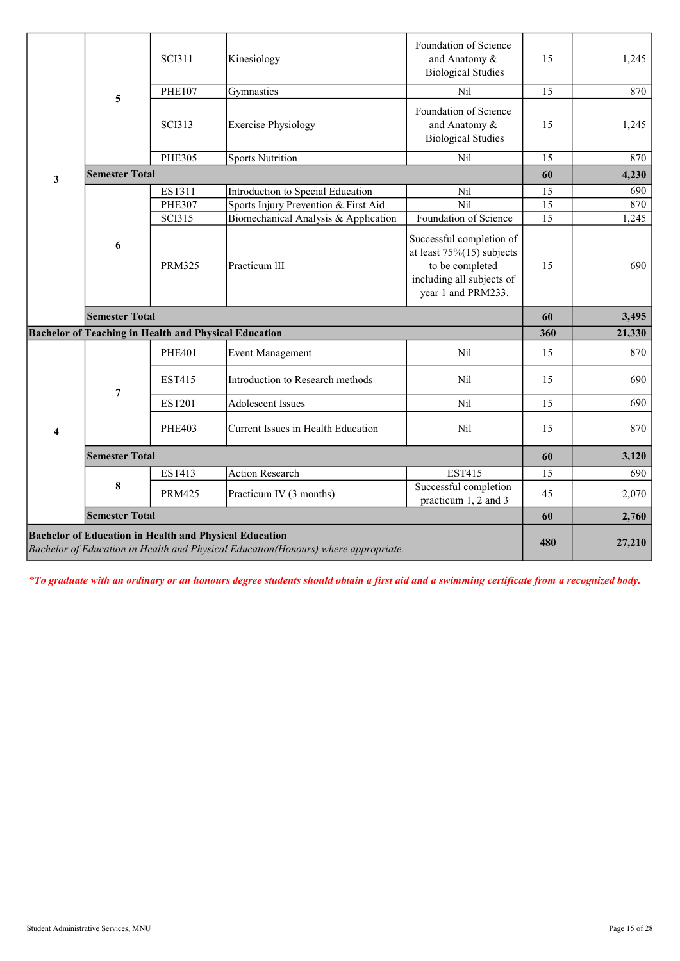| 5            |                       | <b>SCI311</b> | Kinesiology                                                  | Foundation of Science<br>and Anatomy &<br><b>Biological Studies</b>                                                            | 15  | 1,245  |
|--------------|-----------------------|---------------|--------------------------------------------------------------|--------------------------------------------------------------------------------------------------------------------------------|-----|--------|
|              | <b>PHE107</b>         | Gymnastics    | Nil                                                          | 15                                                                                                                             | 870 |        |
|              |                       | <b>SCI313</b> | <b>Exercise Physiology</b>                                   | Foundation of Science<br>and Anatomy &<br><b>Biological Studies</b>                                                            | 15  | 1,245  |
|              |                       | <b>PHE305</b> | <b>Sports Nutrition</b>                                      | Nil                                                                                                                            | 15  | 870    |
| $\mathbf{3}$ | <b>Semester Total</b> |               |                                                              |                                                                                                                                | 60  | 4,230  |
|              |                       | <b>EST311</b> | Introduction to Special Education                            | Nil                                                                                                                            | 15  | 690    |
|              |                       | <b>PHE307</b> | Sports Injury Prevention & First Aid                         | Nil                                                                                                                            | 15  | 870    |
|              |                       | <b>SCI315</b> | Biomechanical Analysis & Application                         | Foundation of Science                                                                                                          | 15  | 1,245  |
| 6            |                       | <b>PRM325</b> | Practicum III                                                | Successful completion of<br>at least $75\%(15)$ subjects<br>to be completed<br>including all subjects of<br>year 1 and PRM233. | 15  | 690    |
|              | <b>Semester Total</b> |               |                                                              |                                                                                                                                | 60  | 3,495  |
|              |                       |               | <b>Bachelor of Teaching in Health and Physical Education</b> |                                                                                                                                | 360 | 21,330 |
|              |                       | <b>PHE401</b> | <b>Event Management</b>                                      | Nil                                                                                                                            | 15  | 870    |
|              | 7                     | <b>EST415</b> | Introduction to Research methods                             | Nil                                                                                                                            | 15  | 690    |
|              |                       | <b>EST201</b> | <b>Adolescent Issues</b>                                     | Nil                                                                                                                            | 15  | 690    |
|              |                       |               |                                                              |                                                                                                                                |     |        |
| 4            |                       | <b>PHE403</b> | Current Issues in Health Education                           | Nil                                                                                                                            | 15  | 870    |
|              | <b>Semester Total</b> |               |                                                              |                                                                                                                                | 60  | 3,120  |
|              |                       | <b>EST413</b> | <b>Action Research</b>                                       | <b>EST415</b>                                                                                                                  | 15  | 690    |
|              | 8                     | <b>PRM425</b> | Practicum IV (3 months)                                      | Successful completion<br>practicum 1, 2 and 3                                                                                  | 45  | 2,070  |
|              | <b>Semester Total</b> |               |                                                              |                                                                                                                                | 60  | 2,760  |

\*To graduate with an ordinary or an honours degree students should obtain a first aid and a swimming certificate from a recognized body.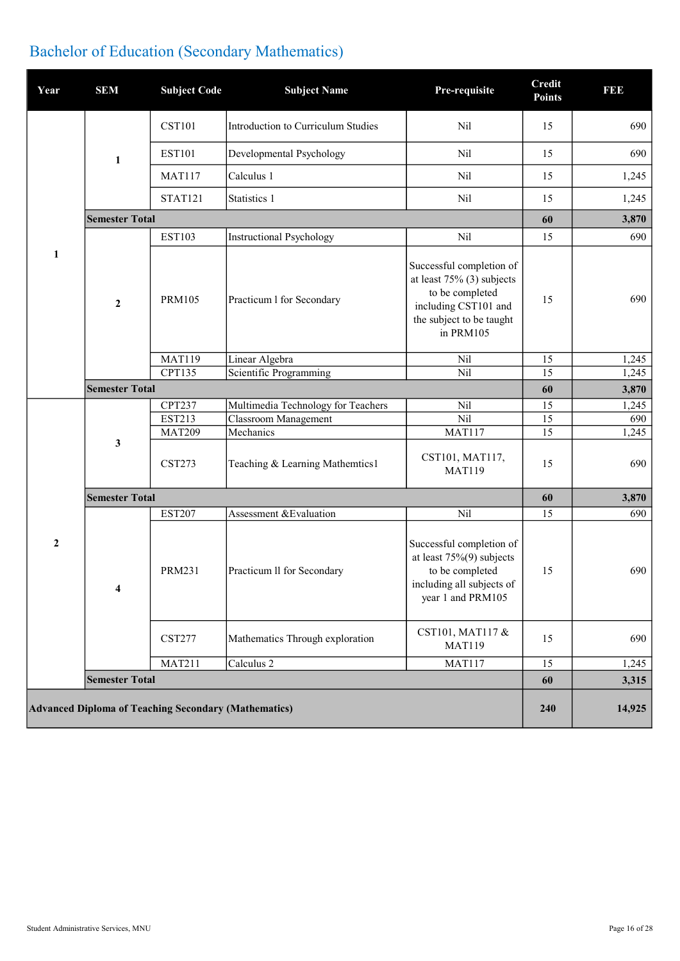## Bachelor of Education (Secondary Mathematics)

| Year             | <b>SEM</b>            | <b>Subject Code</b>                                         | <b>Subject Name</b>                | Pre-requisite                                                                                                                                | Credit<br><b>Points</b> | 1993         |
|------------------|-----------------------|-------------------------------------------------------------|------------------------------------|----------------------------------------------------------------------------------------------------------------------------------------------|-------------------------|--------------|
|                  |                       | <b>CST101</b>                                               | Introduction to Curriculum Studies | Nil                                                                                                                                          | 15                      | 690          |
|                  | 1                     | <b>EST101</b>                                               | Developmental Psychology           | Nil                                                                                                                                          | 15                      | 690          |
|                  |                       | <b>MAT117</b>                                               | Calculus 1                         | Nil                                                                                                                                          | 15                      | 1,245        |
|                  |                       | STAT121                                                     | Statistics 1                       | Nil                                                                                                                                          | 15                      | 1,245        |
|                  | <b>Semester Total</b> |                                                             |                                    |                                                                                                                                              | 60                      | 3,870        |
|                  |                       | <b>EST103</b>                                               | <b>Instructional Psychology</b>    | Nil                                                                                                                                          | 15                      | 690          |
| 1                | $\mathbf{2}$          | <b>PRM105</b>                                               | Practicum 1 for Secondary          | Successful completion of<br>at least $75\%$ (3) subjects<br>to be completed<br>including CST101 and<br>the subject to be taught<br>in PRM105 | 15                      | 690          |
|                  |                       | <b>MAT119</b>                                               | Linear Algebra                     | Nil                                                                                                                                          | 15                      | 1,245        |
|                  |                       | <b>CPT135</b>                                               | Scientific Programming             | Nil                                                                                                                                          | 15                      | 1,245        |
|                  | <b>Semester Total</b> |                                                             |                                    |                                                                                                                                              | 60                      | 3,870        |
|                  |                       | <b>CPT237</b>                                               | Multimedia Technology for Teachers | Nil                                                                                                                                          | 15                      | 1,245        |
|                  |                       | <b>EST213</b><br><b>MAT209</b>                              | Classroom Management<br>Mechanics  | Nil                                                                                                                                          | 15<br>15                | 690          |
|                  | 3                     | <b>CST273</b>                                               | Teaching & Learning Mathemtics1    | MAT117<br>CST101, MAT117,<br><b>MAT119</b>                                                                                                   | 15                      | 1,245<br>690 |
|                  | <b>Semester Total</b> |                                                             |                                    |                                                                                                                                              | 60                      | 3,870        |
|                  |                       | <b>EST207</b>                                               | Assessment & Evaluation            | Nil                                                                                                                                          | 15                      | 690          |
| $\boldsymbol{2}$ | 4                     | <b>PRM231</b>                                               | Practicum II for Secondary         | Successful completion of<br>at least $75\%(9)$ subjects<br>to be completed<br>including all subjects of<br>year 1 and PRM105                 | 15                      | 690          |
|                  |                       | <b>CST277</b>                                               | Mathematics Through exploration    | CST101, MAT117 &<br><b>MAT119</b>                                                                                                            | 15                      | 690          |
|                  |                       | <b>MAT211</b>                                               | Calculus 2                         | <b>MAT117</b>                                                                                                                                | 15                      | 1,245        |
|                  | <b>Semester Total</b> |                                                             |                                    |                                                                                                                                              | 60                      | 3,315        |
|                  |                       | <b>Advanced Diploma of Teaching Secondary (Mathematics)</b> |                                    |                                                                                                                                              | 240                     | 14,925       |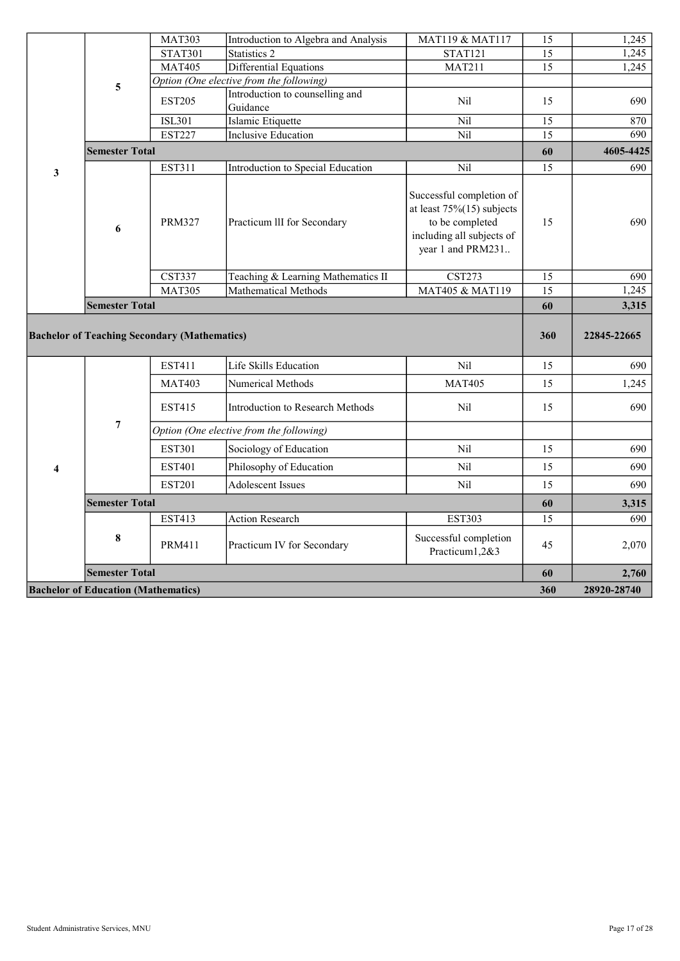|   |                       | <b>MAT303</b>                                       | Introduction to Algebra and Analysis        | MAT119 & MAT117                                                                                                               | 15  | 1,245       |
|---|-----------------------|-----------------------------------------------------|---------------------------------------------|-------------------------------------------------------------------------------------------------------------------------------|-----|-------------|
|   |                       | <b>STAT301</b>                                      | <b>Statistics 2</b>                         | <b>STAT121</b>                                                                                                                | 15  | 1,245       |
|   |                       | <b>MAT405</b>                                       | Differential Equations                      | <b>MAT211</b>                                                                                                                 | 15  | 1,245       |
|   | 5                     |                                                     | Option (One elective from the following)    |                                                                                                                               |     |             |
|   |                       | <b>EST205</b>                                       | Introduction to counselling and<br>Guidance | N <sub>il</sub>                                                                                                               | 15  | 690         |
|   |                       | <b>ISL301</b>                                       | Islamic Etiquette                           | Nil                                                                                                                           | 15  | 870         |
|   |                       | <b>EST227</b>                                       | <b>Inclusive Education</b>                  | Nil                                                                                                                           | 15  | 690         |
|   | <b>Semester Total</b> |                                                     |                                             |                                                                                                                               | 60  | 4605-4425   |
| 3 |                       | EST311                                              | Introduction to Special Education           | Nil                                                                                                                           | 15  | 690         |
|   | 6                     | <b>PRM327</b>                                       | Practicum III for Secondary                 | Successful completion of<br>at least $75\%(15)$ subjects<br>to be completed<br>including all subjects of<br>year 1 and PRM231 | 15  | 690         |
|   |                       | <b>CST337</b>                                       | Teaching & Learning Mathematics II          | <b>CST273</b>                                                                                                                 | 15  | 690         |
|   |                       | <b>MAT305</b>                                       | Mathematical Methods                        | MAT405 & MAT119                                                                                                               | 15  | 1,245       |
|   |                       |                                                     |                                             |                                                                                                                               |     |             |
|   | <b>Semester Total</b> |                                                     |                                             |                                                                                                                               | 60  | 3,315       |
|   |                       | <b>Bachelor of Teaching Secondary (Mathematics)</b> |                                             |                                                                                                                               | 360 | 22845-22665 |
|   |                       | EST411                                              | Life Skills Education                       | Nil                                                                                                                           | 15  | 690         |
|   |                       | <b>MAT403</b>                                       | Numerical Methods                           | <b>MAT405</b>                                                                                                                 | 15  | 1,245       |
|   |                       | <b>EST415</b>                                       | Introduction to Research Methods            | Nil                                                                                                                           | 15  | 690         |
|   | $\overline{7}$        |                                                     | Option (One elective from the following)    |                                                                                                                               |     |             |
|   |                       | <b>EST301</b>                                       | Sociology of Education                      | Nil                                                                                                                           | 15  | 690         |
| 4 |                       | <b>EST401</b>                                       | Philosophy of Education                     | Nil                                                                                                                           | 15  | 690         |
|   |                       | <b>EST201</b>                                       | <b>Adolescent Issues</b>                    | Nil                                                                                                                           | 15  | 690         |
|   | <b>Semester Total</b> |                                                     |                                             |                                                                                                                               | 60  | 3,315       |
|   |                       | <b>EST413</b>                                       | <b>Action Research</b>                      | <b>EST303</b>                                                                                                                 | 15  | 690         |
|   | 8                     | <b>PRM411</b>                                       | Practicum IV for Secondary                  | Successful completion<br>Practicum1,2&3                                                                                       | 45  | 2,070       |
|   | <b>Semester Total</b> |                                                     |                                             |                                                                                                                               | 60  | 2,760       |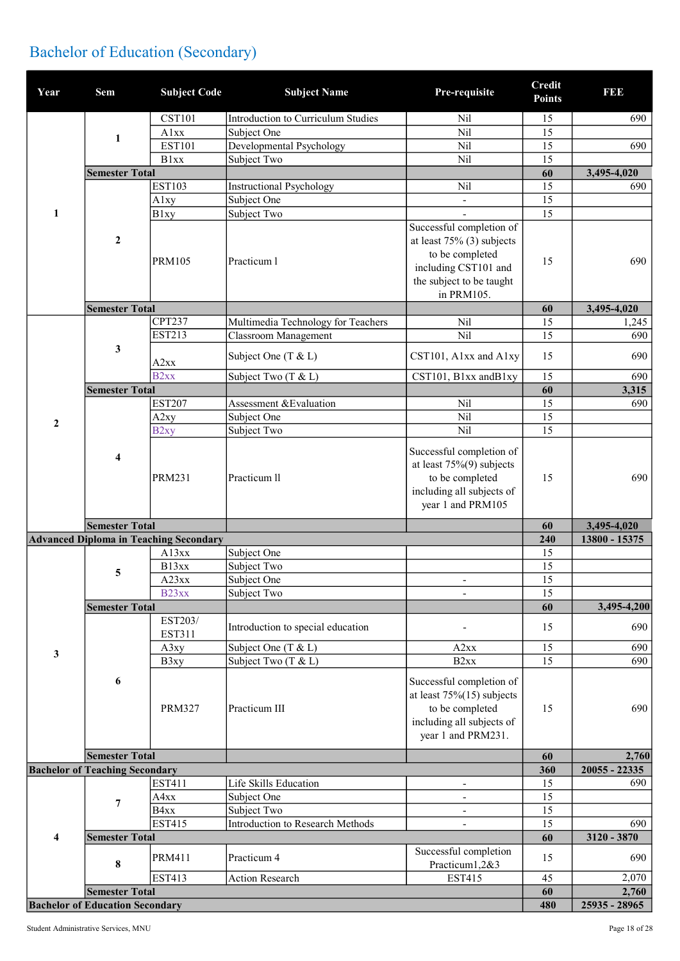## Bachelor of Education (Secondary)

| Year             | <b>Sem</b>                            | <b>Subject Code</b>                           | <b>Subject Name</b>                | Pre-requisite                                                                                                                                 | <b>Credit</b><br><b>Points</b> | <b>BBB</b>         |
|------------------|---------------------------------------|-----------------------------------------------|------------------------------------|-----------------------------------------------------------------------------------------------------------------------------------------------|--------------------------------|--------------------|
|                  |                                       | <b>CST101</b>                                 | Introduction to Curriculum Studies | Nil                                                                                                                                           | 15                             | 690                |
|                  |                                       | Alxx                                          | Subject One                        | Nil                                                                                                                                           | 15                             |                    |
| 1                | <b>EST101</b>                         | Developmental Psychology                      | Nil                                | 15                                                                                                                                            | 690                            |                    |
|                  | <b>B</b> lxx                          | Subject Two                                   | Nil                                | 15                                                                                                                                            |                                |                    |
|                  | <b>Semester Total</b>                 |                                               |                                    |                                                                                                                                               | 60                             | 3,495-4,020        |
|                  |                                       | <b>EST103</b>                                 | <b>Instructional Psychology</b>    | Nil                                                                                                                                           | 15                             | 690                |
|                  |                                       | Alxy                                          | Subject One                        | $\blacksquare$                                                                                                                                | 15                             |                    |
| $\mathbf{1}$     |                                       | <b>B</b> lxy                                  | Subject Two                        |                                                                                                                                               | 15                             |                    |
| $\boldsymbol{2}$ |                                       | <b>PRM105</b>                                 | Practicum 1                        | Successful completion of<br>at least $75\%$ (3) subjects<br>to be completed<br>including CST101 and<br>the subject to be taught<br>in PRM105. | 15                             | 690                |
|                  | <b>Semester Total</b>                 |                                               |                                    |                                                                                                                                               | 60                             | 3,495-4,020        |
|                  |                                       | <b>CPT237</b>                                 | Multimedia Technology for Teachers | Nil                                                                                                                                           | 15                             | 1,245              |
|                  |                                       | <b>EST213</b>                                 | Classroom Management               | Nil                                                                                                                                           | 15                             | 690                |
|                  | 3                                     | A2xx                                          | Subject One (T & L)                | CST101, A1xx and A1xy                                                                                                                         | 15                             | 690                |
|                  |                                       | B <sub>2xx</sub>                              | Subject Two (T & L)                | CST101, B1xx andB1xy                                                                                                                          | 15                             | 690                |
|                  | <b>Semester Total</b>                 |                                               |                                    |                                                                                                                                               | 60                             | 3,315              |
|                  |                                       | <b>EST207</b>                                 | Assessment & Evaluation            | Nil                                                                                                                                           | 15                             | 690                |
| $\overline{2}$   |                                       | A <sub>2</sub> xy                             | Subject One                        | Nil                                                                                                                                           | 15                             |                    |
|                  |                                       | B <sub>2xy</sub>                              | Subject Two                        | Nil                                                                                                                                           | 15                             |                    |
|                  | 4                                     | <b>PRM231</b>                                 | Practicum ll                       | Successful completion of<br>at least $75\%(9)$ subjects<br>to be completed<br>including all subjects of<br>year 1 and PRM105                  | 15                             | 690                |
|                  |                                       |                                               |                                    |                                                                                                                                               |                                |                    |
|                  | <b>Semester Total</b>                 |                                               |                                    |                                                                                                                                               | 60                             | 3,495-4,020        |
|                  |                                       | <b>Advanced Diploma in Teaching Secondary</b> |                                    |                                                                                                                                               | 240                            | 13800 - 15375      |
|                  |                                       | A13xx                                         | Subject One                        |                                                                                                                                               | 15                             |                    |
|                  |                                       | B13xx                                         | Subject Two                        |                                                                                                                                               | 15                             |                    |
|                  | 5                                     | A23xx                                         | Subject One                        | $\blacksquare$                                                                                                                                | 15                             |                    |
|                  |                                       | B <sub>23xx</sub>                             | Subject Two                        |                                                                                                                                               | $\overline{15}$                |                    |
|                  | <b>Semester Total</b>                 |                                               |                                    |                                                                                                                                               | 60                             |                    |
|                  |                                       | EST203/<br>EST311                             | Introduction to special education  |                                                                                                                                               | 15                             | 690                |
|                  |                                       | A3xy                                          | Subject One (T & L)                | A2xx                                                                                                                                          | 15                             | 3,495-4,200<br>690 |
| 3                |                                       | B3xy                                          | Subject Two (T & L)                | B <sub>2</sub> xx                                                                                                                             | 15                             | 690                |
|                  | 6                                     | <b>PRM327</b>                                 | Practicum III                      | Successful completion of<br>at least $75\%(15)$ subjects<br>to be completed<br>including all subjects of<br>year 1 and PRM231.                | 15                             | 690                |
|                  | <b>Semester Total</b>                 |                                               |                                    |                                                                                                                                               | 60                             | 2,760              |
|                  | <b>Bachelor of Teaching Secondary</b> |                                               |                                    |                                                                                                                                               | 360                            | 20055 - 22335      |
|                  |                                       | <b>EST411</b>                                 | Life Skills Education              | $\overline{\phantom{a}}$                                                                                                                      | 15                             | 690                |
|                  | $\overline{7}$                        | A4xx                                          | Subject One                        | $\frac{1}{2}$                                                                                                                                 | 15                             |                    |
|                  |                                       | B <sub>4</sub> x <sub>x</sub>                 | Subject Two                        | $\blacksquare$                                                                                                                                | 15                             |                    |
|                  |                                       | <b>EST415</b>                                 | Introduction to Research Methods   | $\blacksquare$                                                                                                                                | 15                             | 690                |
| $\overline{4}$   | <b>Semester Total</b>                 | <b>PRM411</b>                                 | Practicum 4                        | Successful completion                                                                                                                         | 60<br>15                       | 3120 - 3870<br>690 |
|                  | $\bf{8}$                              |                                               |                                    | Practicum1,2&3                                                                                                                                |                                |                    |
|                  | <b>Semester Total</b>                 | <b>EST413</b>                                 | Action Research                    | <b>EST415</b>                                                                                                                                 | 45<br>60                       | 2,070<br>2,760     |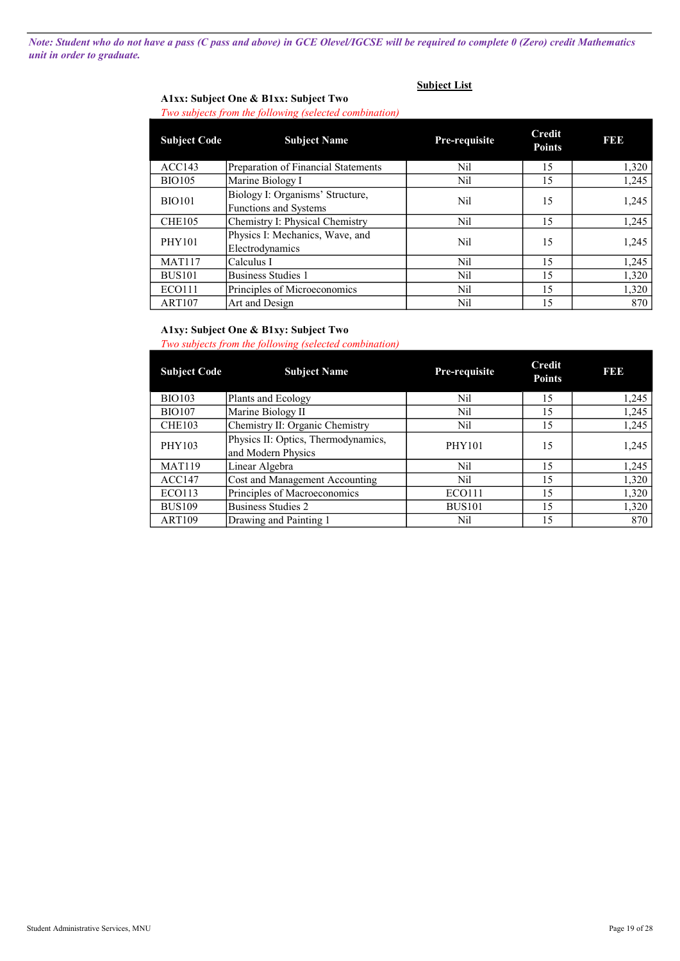Note: Student who do not have a pass (C pass and above) in GCE Olevel/IGCSE will be required to complete 0 (Zero) credit Mathematics unit in order to graduate.

### Subject List

### A1xx: Subject One & B1xx: Subject Two Two subjects from the following (selected combination)

| <b>Subject Code</b> | <b>Subject Name</b>                                              | <b>Pre-requisite</b> | Credit<br><b>Points</b> | <b>BBB</b> |
|---------------------|------------------------------------------------------------------|----------------------|-------------------------|------------|
| ACC143              | Preparation of Financial Statements                              | Nil                  | 15                      | 1,320      |
| <b>BIO105</b>       | Marine Biology I                                                 | Nil                  | 15                      | 1,245      |
| <b>BIO101</b>       | Biology I: Organisms' Structure,<br><b>Functions and Systems</b> | Nil                  | 15                      | 1,245      |
| CHE <sub>105</sub>  | Chemistry I: Physical Chemistry                                  | Nil                  | 15                      | 1,245      |
| <b>PHY101</b>       | Physics I: Mechanics, Wave, and<br>Electrodynamics               | Nil                  | 15                      | 1,245      |
| <b>MAT117</b>       | Calculus I                                                       | Nil                  | 15                      | 1,245      |
| <b>BUS101</b>       | Business Studies 1                                               | Nil                  | 15                      | 1,320      |
| <b>ECO111</b>       | Principles of Microeconomics                                     | Nil                  | 15                      | 1,320      |
| <b>ART107</b>       | Art and Design                                                   | Nil                  | 15                      | 870        |

### A1xy: Subject One & B1xy: Subject Two

#### Two subjects from the following (selected combination)

| <b>Subject Code</b> | <b>Subject Name</b>                                       | Pre-requisite | <b>Credit</b><br><b>Points</b> | <b>BBB</b> |
|---------------------|-----------------------------------------------------------|---------------|--------------------------------|------------|
| <b>BIO103</b>       | Plants and Ecology                                        | Nil           | 15                             | 1,245      |
| <b>BIO107</b>       | Marine Biology II                                         | Nil           | 15                             | 1,245      |
| CHE <sub>103</sub>  | Chemistry II: Organic Chemistry                           | Nil           | 15                             | 1,245      |
| PHY103              | Physics II: Optics, Thermodynamics,<br>and Modern Physics | <b>PHY101</b> | 15                             | 1,245      |
| <b>MAT119</b>       | Linear Algebra                                            | Nil           | 15                             | 1,245      |
| ACC147              | Cost and Management Accounting                            | Nil           | 15                             | 1,320      |
| <b>ECO113</b>       | Principles of Macroeconomics                              | <b>ECO111</b> | 15                             | 1,320      |
| <b>BUS109</b>       | Business Studies 2                                        | <b>BUS101</b> | 15                             | 1,320      |
| <b>ART109</b>       | Drawing and Painting 1                                    | Nil           | 15                             | 870        |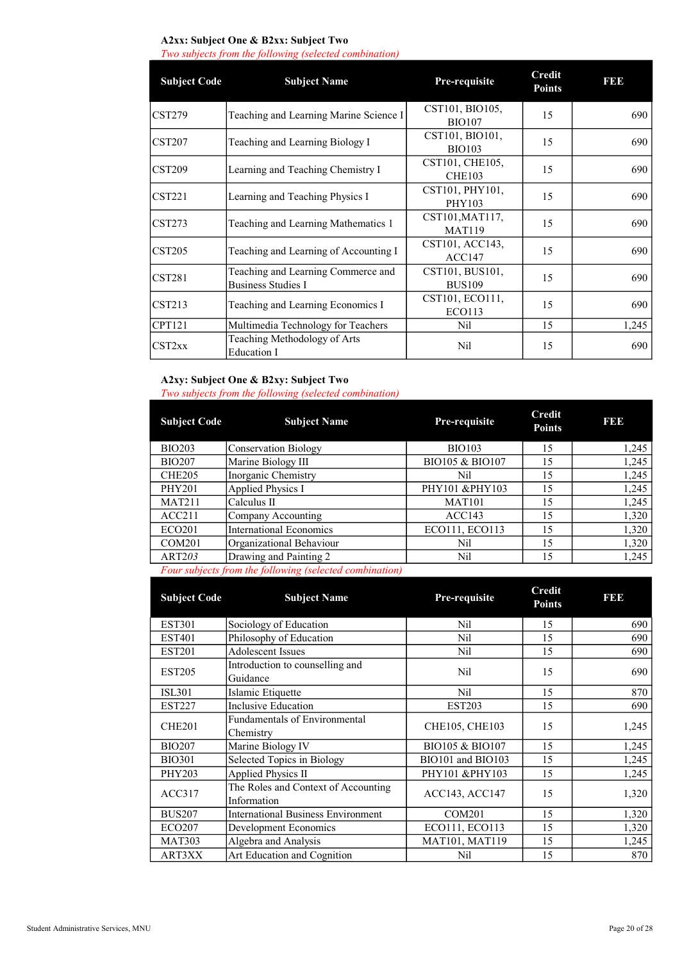### A2xx: Subject One & B2xx: Subject Two

Two subjects from the following (selected combination)

| <b>Subject Code</b>               | <b>Subject Name</b>                    | Pre-requisite   | <b>Credit</b><br><b>Points</b> | <b>BB</b> |
|-----------------------------------|----------------------------------------|-----------------|--------------------------------|-----------|
| <b>CST279</b>                     | Teaching and Learning Marine Science I | CST101, BIO105, | 15                             | 690       |
|                                   |                                        | <b>BIO107</b>   |                                |           |
| <b>CST207</b>                     | Teaching and Learning Biology I        | CST101, BIO101, | 15                             | 690       |
|                                   |                                        | <b>BIO103</b>   |                                |           |
| CST <sub>209</sub>                |                                        | CST101, CHE105, | 15                             | 690       |
|                                   | Learning and Teaching Chemistry I      | <b>CHE103</b>   |                                |           |
| $\textcolor{blue}{\text{CST221}}$ |                                        | CST101, PHY101, | 15                             | 690       |
|                                   | Learning and Teaching Physics I        | <b>PHY103</b>   |                                |           |
|                                   |                                        | CST101, MAT117, | 15                             |           |
| $\overline{\text{CST273}}$        | Teaching and Learning Mathematics 1    | <b>MAT119</b>   |                                | 690       |
|                                   |                                        | CST101, ACC143, |                                |           |
| $\overline{\text{CST205}}$        | Teaching and Learning of Accounting I  | ACC147          | 15                             | 690       |
|                                   | Teaching and Learning Commerce and     | CST101, BUS101, |                                |           |
| $\textcolor{blue}{\text{CST281}}$ | <b>Business Studies I</b>              | <b>BUS109</b>   | 15                             | 690       |
|                                   |                                        | CST101, ECO111, |                                |           |
| CST213                            | Teaching and Learning Economics I      | ECO113          | 15                             | 690       |
| <b>CPT121</b>                     | Multimedia Technology for Teachers     | Nil             | 15                             | 1,245     |
|                                   | Teaching Methodology of Arts           |                 |                                |           |
| $\overline{\text{CST2xx}}$        | Education I                            | Nil             | 15                             | 690       |

### A2xy: Subject One & B2xy: Subject Two

Two subjects from the following (selected combination)

| <b>Subject Code</b> | <b>Subject Name</b>                                    | Pre-requisite              | <b>Credit</b><br><b>Points</b> | 131313 |
|---------------------|--------------------------------------------------------|----------------------------|--------------------------------|--------|
| <b>BIO203</b>       | <b>Conservation Biology</b>                            | <b>BIO103</b>              | 15                             | 1,245  |
| <b>BIO207</b>       | Marine Biology III                                     | <b>BIO105 &amp; BIO107</b> | 15                             | 1,245  |
| CHE <sub>205</sub>  | Inorganic Chemistry                                    | Nil                        | 15                             | 1,245  |
| <b>PHY201</b>       | Applied Physics I                                      | PHY101 &PHY103             | 15                             | 1,245  |
| <b>MAT211</b>       | Calculus II                                            | <b>MAT101</b>              | 15                             | 1,245  |
| ACC211              | Company Accounting                                     | ACC143                     | 15                             | 1,320  |
| <b>ECO201</b>       | <b>International Economics</b>                         | ECO111, ECO113             | 15                             | 1,320  |
| COM <sub>201</sub>  | Organizational Behaviour                               | Nil                        | 15                             | 1,320  |
| ART203              | Drawing and Painting 2                                 | Nil                        | 15                             | 1,245  |
|                     | Equipmentate from the following (selected combination) |                            |                                |        |

Four subjects from the following (selected combination)

| <b>Subject Code</b> | <b>Subject Name</b>                                | Pre-requisite      | <b>Credit</b><br><b>Points</b> | I 31 31 3 |
|---------------------|----------------------------------------------------|--------------------|--------------------------------|-----------|
| <b>EST301</b>       | Sociology of Education                             | Nil                | 15                             | 690       |
| <b>EST401</b>       | Philosophy of Education                            | Nil                | 15                             | 690       |
| <b>EST201</b>       | <b>Adolescent Issues</b>                           | Nil                | 15                             | 690       |
| <b>EST205</b>       | Introduction to counselling and<br>Guidance        | Nil                | 15                             | 690       |
| <b>ISL301</b>       | Islamic Etiquette                                  | Nil                | 15                             | 870       |
| <b>EST227</b>       | Inclusive Education                                | <b>EST203</b>      | 15                             | 690       |
| CHE <sub>201</sub>  | Fundamentals of Environmental<br>Chemistry         | CHE105, CHE103     | 15                             | 1,245     |
| <b>BIO207</b>       | Marine Biology IV                                  | BIO105 & BIO107    | 15                             | 1,245     |
| <b>BIO301</b>       | Selected Topics in Biology                         | BIO101 and BIO103  | 15                             | 1,245     |
| <b>PHY203</b>       | Applied Physics II                                 | PHY101 &PHY103     | 15                             | 1,245     |
| ACC317              | The Roles and Context of Accounting<br>Information | ACC143, ACC147     | 15                             | 1,320     |
| <b>BUS207</b>       | <b>International Business Environment</b>          | COM <sub>201</sub> | 15                             | 1,320     |
| <b>ECO207</b>       | Development Economics                              | ECO111, ECO113     | 15                             | 1,320     |
| <b>MAT303</b>       | Algebra and Analysis                               | MAT101, MAT119     | 15                             | 1,245     |
| ART3XX              | Art Education and Cognition                        | Nil                | 15                             | 870       |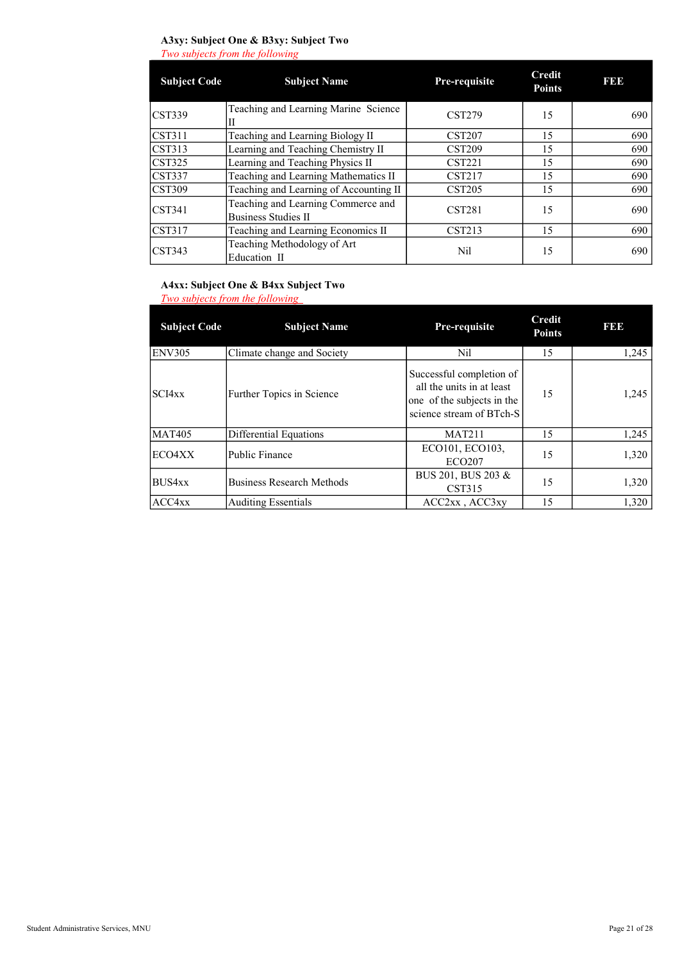### A3xy: Subject One & B3xy: Subject Two

Two subjects from the following

| <b>Subject Code</b>        | <b>Subject Name</b>                                              | Pre-requisite | <b>Credit</b><br><b>Points</b> | <b>BBB</b> |
|----------------------------|------------------------------------------------------------------|---------------|--------------------------------|------------|
| <b>CST339</b>              | Teaching and Learning Marine Science<br>Н                        | <b>CST279</b> | 15                             | 690        |
| <b>CST311</b>              | Teaching and Learning Biology II                                 | <b>CST207</b> | 15                             | 690        |
| <b>CST313</b>              | Learning and Teaching Chemistry II                               | <b>CST209</b> | 15                             | 690        |
| <b>CST325</b>              | Learning and Teaching Physics II                                 | <b>CST221</b> | 15                             | 690        |
| <b>CST337</b>              | Teaching and Learning Mathematics II                             | <b>CST217</b> | 15                             | 690        |
| <b>CST309</b>              | Teaching and Learning of Accounting II                           | <b>CST205</b> | 15                             | 690        |
| <b>CST341</b>              | Teaching and Learning Commerce and<br><b>Business Studies II</b> | <b>CST281</b> | 15                             | 690        |
| <b>CST317</b>              | Teaching and Learning Economics II                               | CST213        | 15                             | 690        |
| $\overline{\text{CST343}}$ | Teaching Methodology of Art<br>Education II                      | Nil           | 15                             | 690        |

### A4xx: Subject One & B4xx Subject Two

Two subjects from the following

| <b>Subject Code</b> | <b>Subject Name</b>              | Pre-requisite                                                                                                   | <b>Credit</b><br><b>Points</b> | <b>BBB</b> |
|---------------------|----------------------------------|-----------------------------------------------------------------------------------------------------------------|--------------------------------|------------|
| ENV305              | Climate change and Society       | Nil                                                                                                             | 15                             | 1,245      |
| SCI4xx              | Further Topics in Science        | Successful completion of<br>all the units in at least<br>one of the subjects in the<br>science stream of BTch-S | 15                             | 1,245      |
| <b>MAT405</b>       | Differential Equations           | <b>MAT211</b>                                                                                                   | 15                             | 1,245      |
| ECO4XX              | Public Finance                   | ECO101, ECO103,<br><b>ECO207</b>                                                                                | 15                             | 1,320      |
| <b>BUS4xx</b>       | <b>Business Research Methods</b> | BUS 201, BUS 203 &<br>CST315                                                                                    | 15                             | 1,320      |
| ACC4xx              | <b>Auditing Essentials</b>       | $ACC2xx$ , $ACC3xy$                                                                                             | 15                             | 1,320      |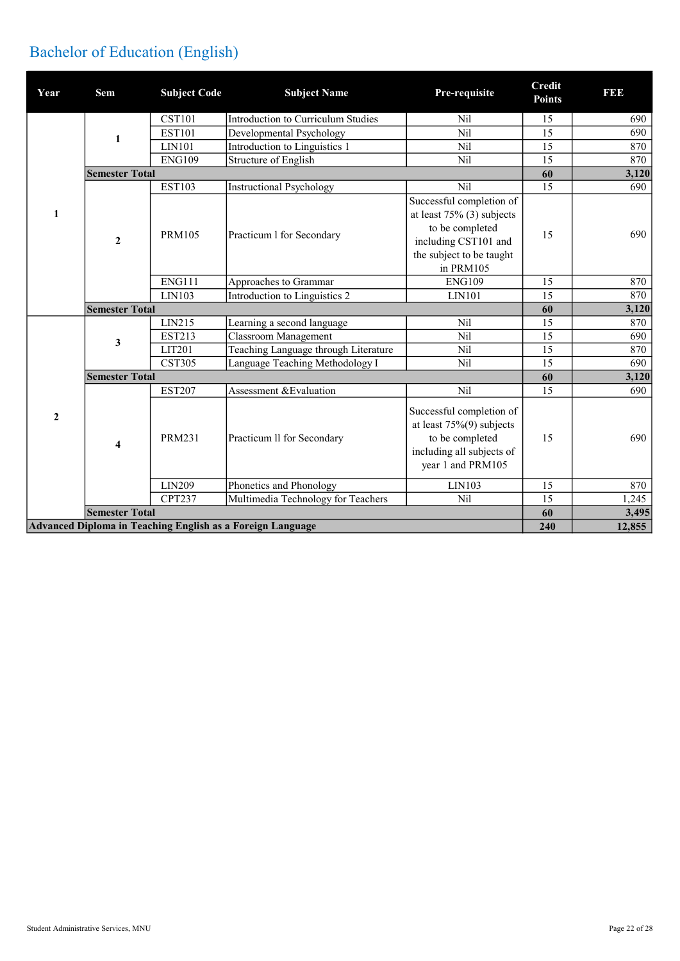## Bachelor of Education (English)

| Year                                                       | Sem                     | <b>Subject Code</b> | <b>Subject Name</b>                  | Pre-requisite                                                                                                                                | <b>Credit</b><br><b>Points</b> | <b>BBB</b> |
|------------------------------------------------------------|-------------------------|---------------------|--------------------------------------|----------------------------------------------------------------------------------------------------------------------------------------------|--------------------------------|------------|
|                                                            |                         | <b>CST101</b>       | Introduction to Curriculum Studies   | Nil                                                                                                                                          | 15                             | 690        |
|                                                            | $\mathbf{1}$            | <b>EST101</b>       | Developmental Psychology             | Nil                                                                                                                                          | 15                             | 690        |
|                                                            |                         | LIN101              | Introduction to Linguistics 1        | Nil                                                                                                                                          | 15                             | 870        |
|                                                            |                         | <b>ENG109</b>       | Structure of English                 | Nil                                                                                                                                          | 15                             | 870        |
|                                                            | <b>Semester Total</b>   |                     |                                      |                                                                                                                                              | 60                             | 3,120      |
|                                                            |                         | <b>EST103</b>       | <b>Instructional Psychology</b>      | Nil                                                                                                                                          | 15                             | 690        |
| 1                                                          | $\mathbf{2}$            | <b>PRM105</b>       | Practicum 1 for Secondary            | Successful completion of<br>at least $75\%$ (3) subjects<br>to be completed<br>including CST101 and<br>the subject to be taught<br>in PRM105 | 15                             | 690        |
|                                                            |                         | <b>ENG111</b>       | Approaches to Grammar                | <b>ENG109</b>                                                                                                                                | 15                             | 870        |
|                                                            |                         | LIN103              | Introduction to Linguistics 2        | LIN101                                                                                                                                       | 15                             | 870        |
|                                                            | <b>Semester Total</b>   |                     |                                      |                                                                                                                                              | 60                             | 3,120      |
|                                                            |                         | LIN215              | Learning a second language           | <b>Nil</b>                                                                                                                                   | 15                             | 870        |
|                                                            | 3                       | EST213              | Classroom Management                 | Nil                                                                                                                                          | 15                             | 690        |
|                                                            |                         | LIT201              | Teaching Language through Literature | <b>Nil</b>                                                                                                                                   | 15                             | 870        |
|                                                            |                         | <b>CST305</b>       | Language Teaching Methodology I      | <b>Nil</b>                                                                                                                                   | 15                             | 690        |
|                                                            | <b>Semester Total</b>   |                     |                                      |                                                                                                                                              | 60                             | 3,120      |
|                                                            |                         | <b>EST207</b>       | Assessment & Evaluation              | Nil                                                                                                                                          | 15                             | 690        |
| $\overline{2}$                                             | $\overline{\mathbf{4}}$ | <b>PRM231</b>       | Practicum II for Secondary           | Successful completion of<br>at least $75\%(9)$ subjects<br>to be completed<br>including all subjects of<br>year 1 and PRM105                 | 15                             | 690        |
|                                                            |                         | <b>LIN209</b>       | Phonetics and Phonology              | LIN103                                                                                                                                       | 15                             | 870        |
|                                                            |                         | <b>CPT237</b>       | Multimedia Technology for Teachers   | Nil                                                                                                                                          | 15                             | 1,245      |
|                                                            | <b>Semester Total</b>   |                     |                                      |                                                                                                                                              | 60                             | 3,495      |
| Advanced Diploma in Teaching English as a Foreign Language |                         |                     |                                      |                                                                                                                                              | 240                            | 12,855     |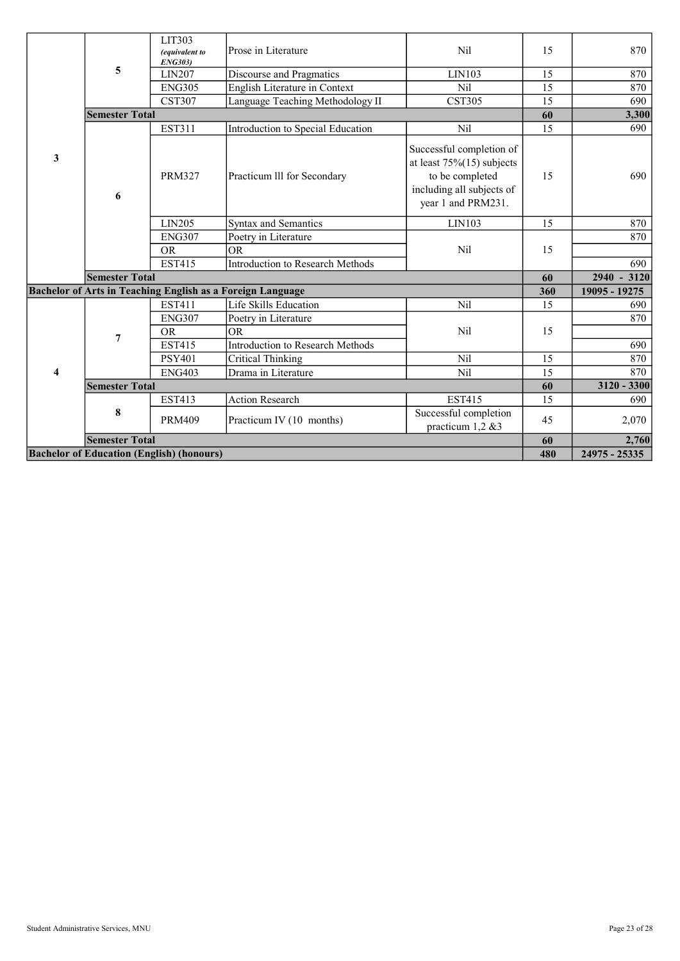|                                                  |                       | LIT303<br>(equivalent to<br><b>ENG303</b> ) | Prose in Literature                                               | <b>Nil</b>                                                                                                                     | 15  | 870           |
|--------------------------------------------------|-----------------------|---------------------------------------------|-------------------------------------------------------------------|--------------------------------------------------------------------------------------------------------------------------------|-----|---------------|
|                                                  | 5                     | LIN207                                      | Discourse and Pragmatics                                          | LIN103                                                                                                                         | 15  | 870           |
|                                                  |                       | <b>ENG305</b>                               | English Literature in Context                                     | Nil                                                                                                                            | 15  | 870           |
|                                                  |                       | <b>CST307</b>                               | Language Teaching Methodology II                                  | <b>CST305</b>                                                                                                                  | 15  | 690           |
|                                                  | <b>Semester Total</b> |                                             |                                                                   |                                                                                                                                | 60  | 3,300         |
|                                                  |                       | <b>EST311</b>                               | Introduction to Special Education                                 | Nil                                                                                                                            | 15  | 690           |
| 3                                                | 6                     | <b>PRM327</b>                               | Practicum III for Secondary                                       | Successful completion of<br>at least $75\%(15)$ subjects<br>to be completed<br>including all subjects of<br>year 1 and PRM231. | 15  | 690           |
|                                                  |                       | LIN205                                      | <b>Syntax and Semantics</b>                                       | LIN103                                                                                                                         | 15  | 870           |
|                                                  |                       | <b>ENG307</b>                               | Poetry in Literature                                              |                                                                                                                                |     | 870           |
|                                                  |                       | <b>OR</b>                                   | <b>OR</b>                                                         | Nil                                                                                                                            | 15  |               |
|                                                  |                       | <b>EST415</b>                               | Introduction to Research Methods                                  |                                                                                                                                |     | 690           |
|                                                  | <b>Semester Total</b> |                                             |                                                                   |                                                                                                                                | 60  | $2940 - 3120$ |
|                                                  |                       |                                             | <b>Bachelor of Arts in Teaching English as a Foreign Language</b> |                                                                                                                                | 360 | 19095 - 19275 |
|                                                  |                       | <b>EST411</b>                               | Life Skills Education                                             | Nil                                                                                                                            | 15  | 690           |
|                                                  |                       | <b>ENG307</b>                               | Poetry in Literature                                              |                                                                                                                                |     | 870           |
|                                                  | 7                     | <b>OR</b>                                   | <b>OR</b>                                                         | Nil                                                                                                                            | 15  |               |
|                                                  |                       | <b>EST415</b>                               | Introduction to Research Methods                                  |                                                                                                                                |     | 690           |
|                                                  |                       | <b>PSY401</b>                               | <b>Critical Thinking</b>                                          | Nil                                                                                                                            | 15  | 870           |
| 4                                                |                       | <b>ENG403</b>                               | Drama in Literature                                               | Nil                                                                                                                            | 15  | 870           |
|                                                  | <b>Semester Total</b> |                                             |                                                                   |                                                                                                                                | 60  | 3120 - 3300   |
|                                                  |                       | <b>EST413</b>                               | <b>Action Research</b>                                            | <b>EST415</b>                                                                                                                  | 15  | 690           |
|                                                  | 8                     | <b>PRM409</b>                               | Practicum IV (10 months)                                          | Successful completion<br>practicum 1,2 &3                                                                                      | 45  | 2,070         |
|                                                  | <b>Semester Total</b> |                                             |                                                                   |                                                                                                                                | 60  | 2,760         |
| <b>Bachelor of Education (English) (honours)</b> |                       |                                             |                                                                   |                                                                                                                                | 480 | 24975 - 25335 |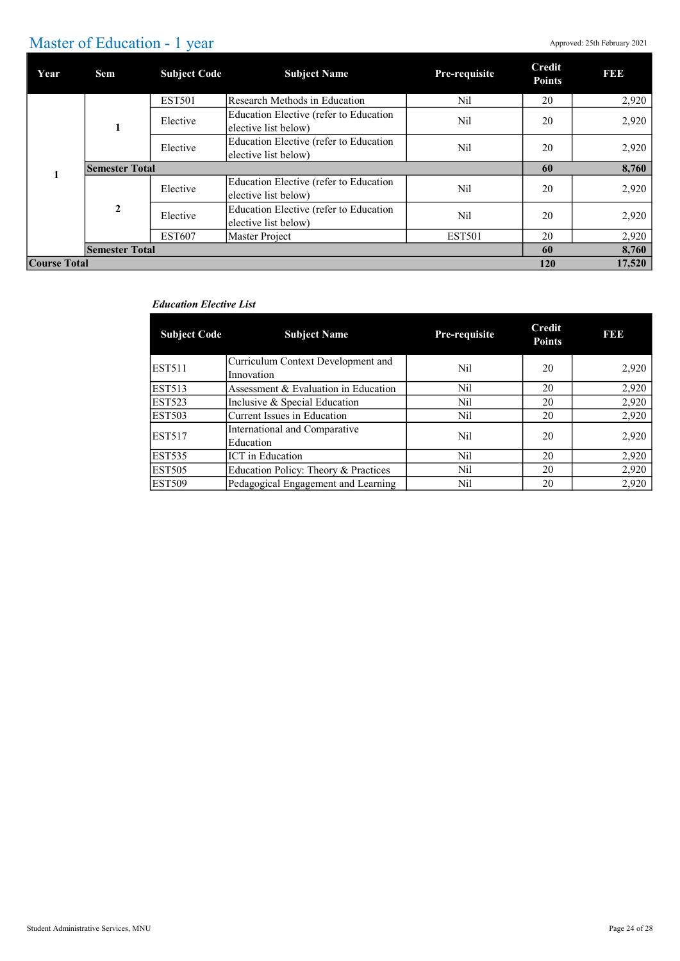### Master of Education - 1 year

| Year                | Sem                   | <b>Subject Code</b> | <b>Subject Name</b>                                            | Pre-requisite | <b>Credit</b><br><b>Points</b> | <b>BBB</b> |
|---------------------|-----------------------|---------------------|----------------------------------------------------------------|---------------|--------------------------------|------------|
|                     |                       | <b>EST501</b>       | Research Methods in Education                                  | Nil           | 20                             | 2,920      |
|                     |                       | Elective            | Education Elective (refer to Education<br>elective list below) | Nil           | 20                             | 2,920      |
|                     |                       | Elective            | Education Elective (refer to Education<br>elective list below) | Nil           | 20                             | 2,920      |
|                     | <b>Semester Total</b> |                     |                                                                |               |                                | 8,760      |
|                     |                       | Elective            | Education Elective (refer to Education<br>elective list below) | Nil           | 20                             | 2,920      |
|                     | $\mathbf{2}$          | Elective            | Education Elective (refer to Education<br>elective list below) | Nil           | 20                             | 2,920      |
|                     |                       | <b>EST607</b>       | Master Project                                                 | <b>EST501</b> | 20                             | 2,920      |
|                     | <b>Semester Total</b> |                     |                                                                |               | 60                             | 8,760      |
| <b>Course Total</b> |                       |                     |                                                                |               | 120                            | 17,520     |

#### Education Elective List

| <b>Subject Code</b> | <b>Subject Name</b>                              | Pre-requisite | Credit<br><b>Points</b> | <b>BB</b> |
|---------------------|--------------------------------------------------|---------------|-------------------------|-----------|
| <b>EST511</b>       | Curriculum Context Development and<br>Innovation | Nil           | 20                      | 2,920     |
| <b>EST513</b>       | Assessment & Evaluation in Education             | Nil           | 20                      | 2,920     |
| <b>EST523</b>       | Inclusive & Special Education                    | Nil           | 20                      | 2,920     |
| <b>EST503</b>       | Current Issues in Education                      | Nil           | 20                      | 2,920     |
| <b>EST517</b>       | International and Comparative<br>Education       | Nil           | 20                      | 2,920     |
| <b>EST535</b>       | <b>ICT</b> in Education                          | Nil           | 20                      | 2,920     |
| <b>EST505</b>       | Education Policy: Theory & Practices             | Nil           | 20                      | 2,920     |
| <b>EST509</b>       | Pedagogical Engagement and Learning              | Nil           | 20                      | 2,920     |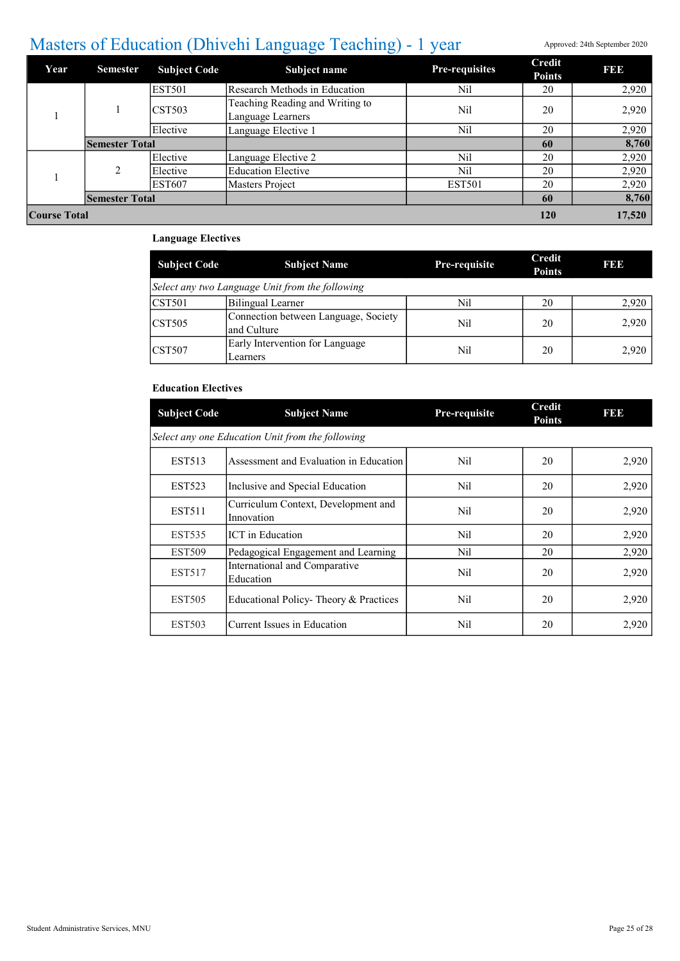## Masters of Education (Dhivehi Language Teaching) - 1 year Approved: 24th September 2020

| Year         | <b>Semester</b>       | <b>Subject Code</b>        | Subject name                                         | <b>Pre-requisites</b> | <b>Credit</b><br><b>Points</b> | <b>BBB</b> |
|--------------|-----------------------|----------------------------|------------------------------------------------------|-----------------------|--------------------------------|------------|
|              |                       | <b>EST501</b>              | Research Methods in Education                        | Nil                   | 20                             | 2,920      |
|              |                       | $\overline{\text{CST503}}$ | Teaching Reading and Writing to<br>Language Learners | Nil                   | 20                             | 2,920      |
|              |                       | Elective                   | Language Elective 1                                  | Nil                   | 20                             | 2,920      |
|              | <b>Semester Total</b> |                            |                                                      |                       | 60                             | 8,760      |
|              |                       | Elective                   | Language Elective 2                                  | Nil                   | 20                             | 2,920      |
|              | $\mathfrak{D}$        | Elective                   | <b>Education Elective</b>                            | Nil                   | 20                             | 2,920      |
|              |                       | <b>EST607</b>              | Masters Project                                      | <b>EST501</b>         | 20                             | 2,920      |
|              | <b>Semester Total</b> |                            |                                                      |                       | 60                             | 8,760      |
| Course Total |                       |                            |                                                      | 120                   | 17,520                         |            |

### Language Electives

| <b>Subject Code</b> | <b>Subject Name</b>                                 | <b>Pre-requisite</b> | Credit<br><b>Points</b> | 131313 |  |  |  |
|---------------------|-----------------------------------------------------|----------------------|-------------------------|--------|--|--|--|
|                     | Select any two Language Unit from the following     |                      |                         |        |  |  |  |
| $\Gamma$ CST501     | Bilingual Learner                                   | Nil                  | 20                      | 2,920  |  |  |  |
| $\overline{CST505}$ | Connection between Language, Society<br>and Culture | Nil                  | 20                      | 2,920  |  |  |  |
| ICST <sub>507</sub> | Early Intervention for Language<br>Learners         | Nil                  | 20                      | 2,920  |  |  |  |

### Education Electives

| <b>Subject Code</b> | <b>Subject Name</b>                               | Pre-requisite | <b>Credit</b><br><b>Points</b> | 19919 |
|---------------------|---------------------------------------------------|---------------|--------------------------------|-------|
|                     | Select any one Education Unit from the following  |               |                                |       |
| <b>EST513</b>       | Assessment and Evaluation in Education            | Nil           | 20                             | 2,920 |
| <b>EST523</b>       | Inclusive and Special Education                   | Nil           | 20                             | 2,920 |
| <b>EST511</b>       | Curriculum Context, Development and<br>Innovation | Nil           | 20                             | 2,920 |
| <b>EST535</b>       | ICT in Education                                  | Nil           | 20                             | 2,920 |
| <b>EST509</b>       | Pedagogical Engagement and Learning               | Nil           | 20                             | 2,920 |
| <b>EST517</b>       | International and Comparative<br>Education        | Nil           | 20                             | 2,920 |
| <b>EST505</b>       | Educational Policy-Theory & Practices             | Nil           | 20                             | 2,920 |
| <b>EST503</b>       | Current Issues in Education                       | Nil           | 20                             | 2,920 |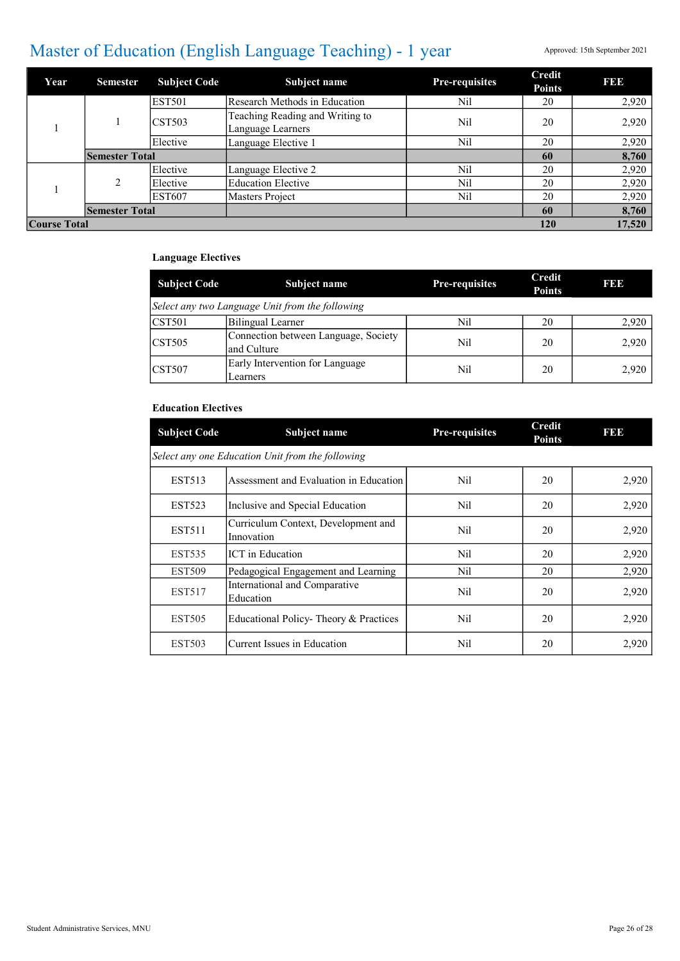## Master of Education (English Language Teaching) - 1 year Approved: 15th September 2021

| Year                | <b>Semester</b>       | <b>Subject Code</b>        | <b>Subject name</b>                                  | <b>Pre-requisites</b> | <b>Credit</b><br><b>Points</b> | I 31 31 3 |
|---------------------|-----------------------|----------------------------|------------------------------------------------------|-----------------------|--------------------------------|-----------|
|                     |                       | <b>EST501</b>              | Research Methods in Education                        | Nil                   | 20                             | 2,920     |
|                     |                       | $\overline{\text{CST503}}$ | Teaching Reading and Writing to<br>Language Learners | Nil                   | 20                             | 2,920     |
|                     |                       | Elective                   | Language Elective 1                                  | Nil                   | 20                             | 2,920     |
|                     | <b>Semester Total</b> |                            |                                                      |                       | 60                             | 8,760     |
|                     |                       | Elective                   | Language Elective 2                                  | Nil                   | 20                             | 2,920     |
|                     | $\mathfrak{D}$        | Elective                   | <b>Education Elective</b>                            | Nil                   | 20                             | 2.920     |
|                     |                       | <b>EST607</b>              | Masters Project                                      | Nil                   | 20                             | 2,920     |
|                     | <b>Semester Total</b> |                            |                                                      |                       | 60                             | 8,760     |
| <b>Course Total</b> |                       |                            |                                                      |                       | 120                            | 17,520    |

### Language Electives

| <b>Subject Code</b>                | Subject name                                         | <b>Pre-requisites</b> | Credit<br><b>Points</b> | <b>BBB</b> |  |  |  |
|------------------------------------|------------------------------------------------------|-----------------------|-------------------------|------------|--|--|--|
|                                    | Select any two Language Unit from the following      |                       |                         |            |  |  |  |
| $\textcolor{blue}{\text{ICST}501}$ | Bilingual Learner                                    | Nil                   | 20                      | 2,920      |  |  |  |
| $\overline{CST505}$                | Connection between Language, Society<br>land Culture | Nil                   | 20                      | 2,920      |  |  |  |
| $\textcolor{blue}{\text{ICST}507}$ | Early Intervention for Language<br>Learners          | Nil                   | 20                      | 2,920      |  |  |  |

#### Education Electives

| <b>Subject Code</b> | Subject name                                      | <b>Pre-requisites</b> | <b>Credit</b><br><b>Points</b> | 19919 |  |  |  |  |  |
|---------------------|---------------------------------------------------|-----------------------|--------------------------------|-------|--|--|--|--|--|
|                     | Select any one Education Unit from the following  |                       |                                |       |  |  |  |  |  |
| <b>EST513</b>       | Assessment and Evaluation in Education            | Nil                   | 20                             | 2,920 |  |  |  |  |  |
| EST523              | Inclusive and Special Education                   | Nil                   | 20                             | 2,920 |  |  |  |  |  |
| <b>EST511</b>       | Curriculum Context, Development and<br>Innovation | Nil                   | 20                             | 2,920 |  |  |  |  |  |
| EST535              | <b>ICT</b> in Education                           | Nil                   | 20                             | 2,920 |  |  |  |  |  |
| <b>EST509</b>       | Pedagogical Engagement and Learning               | Nil                   | 20                             | 2,920 |  |  |  |  |  |
| <b>EST517</b>       | International and Comparative<br>Education        | Nil                   | 20                             | 2,920 |  |  |  |  |  |
| <b>EST505</b>       | Educational Policy-Theory & Practices             | Nil                   | 20                             | 2,920 |  |  |  |  |  |
| <b>EST503</b>       | Current Issues in Education                       | Nil                   | 20                             | 2,920 |  |  |  |  |  |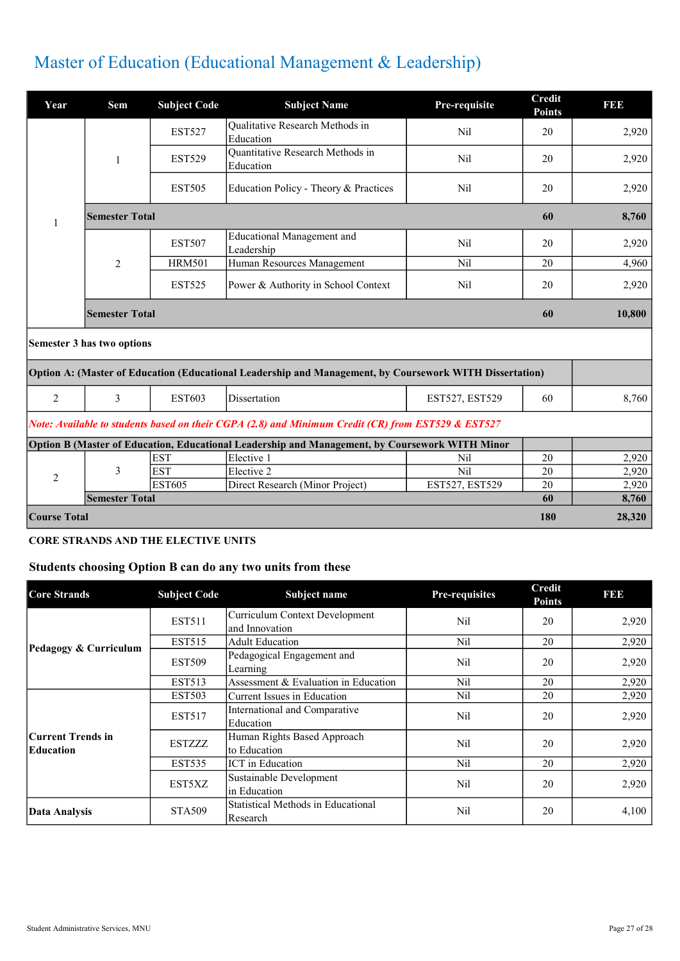## Master of Education (Educational Management & Leadership)

| Year                | Sem                        | <b>Subject Code</b> | <b>Subject Name</b>                                                                                     | Pre-requisite  | <b>Credit</b><br><b>Points</b> | <b>BBB</b> |
|---------------------|----------------------------|---------------------|---------------------------------------------------------------------------------------------------------|----------------|--------------------------------|------------|
|                     |                            | <b>EST527</b>       | Qualitative Research Methods in<br>Education                                                            | Nil            | 20                             | 2,920      |
|                     | 1                          | <b>EST529</b>       | Quantitative Research Methods in<br>Education                                                           | Nil            | 20                             | 2,920      |
|                     |                            | <b>EST505</b>       | Education Policy - Theory & Practices                                                                   | Nil            | 20                             | 2,920      |
| $\mathbf{1}$        | <b>Semester Total</b>      |                     |                                                                                                         |                | 60                             | 8,760      |
|                     |                            | <b>EST507</b>       | <b>Educational Management and</b><br>Leadership                                                         | Nil            | 20                             | 2,920      |
|                     | $\overline{2}$             | <b>HRM501</b>       | Human Resources Management                                                                              | <b>Nil</b>     | 20                             | 4,960      |
|                     |                            | <b>EST525</b>       | Power & Authority in School Context                                                                     | <b>Nil</b>     | 20                             | 2,920      |
|                     | <b>Semester Total</b>      |                     |                                                                                                         |                | 60                             | 10,800     |
|                     | Semester 3 has two options |                     |                                                                                                         |                |                                |            |
|                     |                            |                     | Option A: (Master of Education (Educational Leadership and Management, by Coursework WITH Dissertation) |                |                                |            |
| 2                   | 3                          | <b>EST603</b>       | Dissertation                                                                                            | EST527, EST529 | 60                             | 8,760      |
|                     |                            |                     | Note: Available to students based on their CGPA (2.8) and Minimum Credit (CR) from EST529 & EST527      |                |                                |            |
|                     |                            |                     | Option B (Master of Education, Educational Leadership and Management, by Coursework WITH Minor          |                |                                |            |
|                     |                            | <b>EST</b>          | Elective 1                                                                                              | Nil            | 20                             | 2.920      |
| $\overline{2}$      | 3                          | <b>EST</b>          | Elective 2                                                                                              | <b>Nil</b>     | 20                             | 2,920      |
|                     |                            | <b>EST605</b>       | Direct Research (Minor Project)                                                                         | EST527, EST529 | 20                             | 2,920      |
|                     | <b>Semester Total</b>      |                     |                                                                                                         |                | 60                             | 8,760      |
| <b>Course Total</b> | 180                        |                     |                                                                                                         |                |                                | 28,320     |

### CORE STRANDS AND THE ELECTIVE UNITS

### Students choosing Option B can do any two units from these

| <b>Core Strands</b>            | <b>Subject Code</b> | Subject name                                     | Pre-requisites | <b>Credit</b><br><b>Points</b> | <b>BBB</b> |
|--------------------------------|---------------------|--------------------------------------------------|----------------|--------------------------------|------------|
|                                | <b>EST511</b>       | Curriculum Context Development<br>and Innovation | Nil            | 20                             | 2,920      |
|                                | <b>EST515</b>       | <b>Adult Education</b>                           | Nil            | 20                             | 2,920      |
| Pedagogy & Curriculum          | <b>EST509</b>       | Pedagogical Engagement and<br>Learning           | Nil            | 20                             | 2,920      |
|                                | <b>EST513</b>       | Assessment & Evaluation in Education             | Nil            | 20                             | 2,920      |
|                                | <b>EST503</b>       | Current Issues in Education                      | Nil            | 20                             | 2,920      |
|                                | <b>EST517</b>       | International and Comparative<br>Education       | Nil            | 20                             | 2,920      |
| Current Trends in<br>Education | <b>ESTZZZZ</b>      | Human Rights Based Approach<br>to Education      | Nil            | 20                             | 2,920      |
|                                | <b>EST535</b>       | <b>ICT</b> in Education                          | Nil            | 20                             | 2,920      |
|                                | EST5XZ              | Sustainable Development<br>in Education          | Nil            | 20                             | 2,920      |
| <b>Data Analysis</b>           | <b>STA509</b>       | Statistical Methods in Educational<br>Research   | Nil            | 20                             | 4,100      |